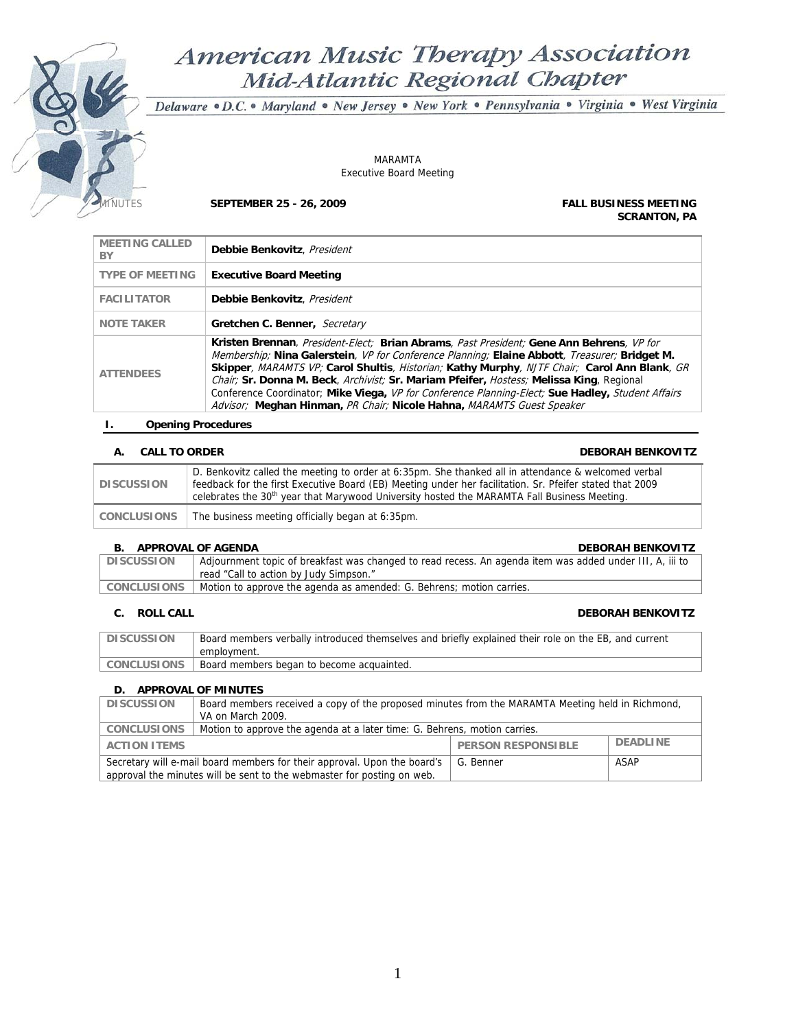# American Music Therapy Association Mid-Atlantic Regional Chapter

Delaware · D.C. · Maryland · New Jersey · New York · Pennsylvania · Virginia · West Virginia

MARAMTA Executive Board Meeting

MINUTES **SEPTEMBER 25 - 26, 2009 FALL BUSINESS MEETING** 

**SCRANTON, PA**

| <b>MEETING CALLED</b><br>BY | Debbie Benkovitz, President                                                                                                                                                                                                                                                                                                                                                                                                                                                                                                                                         |
|-----------------------------|---------------------------------------------------------------------------------------------------------------------------------------------------------------------------------------------------------------------------------------------------------------------------------------------------------------------------------------------------------------------------------------------------------------------------------------------------------------------------------------------------------------------------------------------------------------------|
| <b>TYPE OF MEETING</b>      | <b>Executive Board Meeting</b>                                                                                                                                                                                                                                                                                                                                                                                                                                                                                                                                      |
| <b>FACILITATOR</b>          | Debbie Benkovitz, President                                                                                                                                                                                                                                                                                                                                                                                                                                                                                                                                         |
| <b>NOTE TAKER</b>           | Gretchen C. Benner, Secretary                                                                                                                                                                                                                                                                                                                                                                                                                                                                                                                                       |
| <b>ATTENDEES</b>            | Kristen Brennan, President-Elect; Brian Abrams, Past President; Gene Ann Behrens, VP for<br>Membership; Nina Galerstein, VP for Conference Planning; Elaine Abbott, Treasurer; Bridget M.<br>Skipper, MARAMTS VP; Carol Shultis, Historian; Kathy Murphy, NJTF Chair; Carol Ann Blank, GR<br>Chair; Sr. Donna M. Beck, Archivist; Sr. Mariam Pfeifer, Hostess; Melissa King, Regional<br>Conference Coordinator; Mike Viega, VP for Conference Planning-Elect; Sue Hadley, Student Affairs<br>Advisor; Meghan Hinman, PR Chair; Nicole Hahna, MARAMTS Guest Speaker |

# **I. Opening Procedures**

# **A. CALL TO ORDER DEBORAH BENKOVITZ**

| <b>DISCUSSION</b>  | D. Benkovitz called the meeting to order at 6:35pm. She thanked all in attendance & welcomed verbal<br>feedback for the first Executive Board (EB) Meeting under her facilitation. Sr. Pfeifer stated that 2009<br>celebrates the 30 <sup>th</sup> year that Marywood University hosted the MARAMTA Fall Business Meeting. |
|--------------------|----------------------------------------------------------------------------------------------------------------------------------------------------------------------------------------------------------------------------------------------------------------------------------------------------------------------------|
| <b>CONCLUSIONS</b> | The business meeting officially began at 6:35pm.                                                                                                                                                                                                                                                                           |

# **B. APPROVAL OF AGENDA DEBORAH BENKOVITZ**

| <b>D. ALLIVO VAL VI AVLIVUA</b> | <b>DLDOIMII DLIVINOVITE</b>                                                                              |
|---------------------------------|----------------------------------------------------------------------------------------------------------|
| <b>DISCUSSION</b>               | Adjournment topic of breakfast was changed to read recess. An agenda item was added under III, A, iii to |
|                                 | read "Call to action by Judy Simpson."                                                                   |
| CONCLUSIONS                     | Motion to approve the agenda as amended: G. Behrens; motion carries.                                     |
|                                 |                                                                                                          |

**C. ROLL CALL DEBORAH BENKOVITZ** 

| <b>DISCUSSION</b> | Board members verbally introduced themselves and briefly explained their role on the EB, and current |
|-------------------|------------------------------------------------------------------------------------------------------|
|                   | employment.                                                                                          |
| CONCLUSIONS       | Board members began to become acquainted.                                                            |

# **D. APPROVAL OF MINUTES**

| <b>DISCUSSION</b>                                                                             | Board members received a copy of the proposed minutes from the MARAMTA Meeting held in Richmond, |  |  |
|-----------------------------------------------------------------------------------------------|--------------------------------------------------------------------------------------------------|--|--|
|                                                                                               | VA on March 2009.                                                                                |  |  |
| CONCLUSIONS                                                                                   | Motion to approve the agenda at a later time: G. Behrens, motion carries.                        |  |  |
| <b>DEADLINE</b><br><b>PERSON RESPONSIBLE</b><br><b>ACTION ITEMS</b>                           |                                                                                                  |  |  |
| Secretary will e-mail board members for their approval. Upon the board's<br>ASAP<br>G. Benner |                                                                                                  |  |  |
| approval the minutes will be sent to the webmaster for posting on web.                        |                                                                                                  |  |  |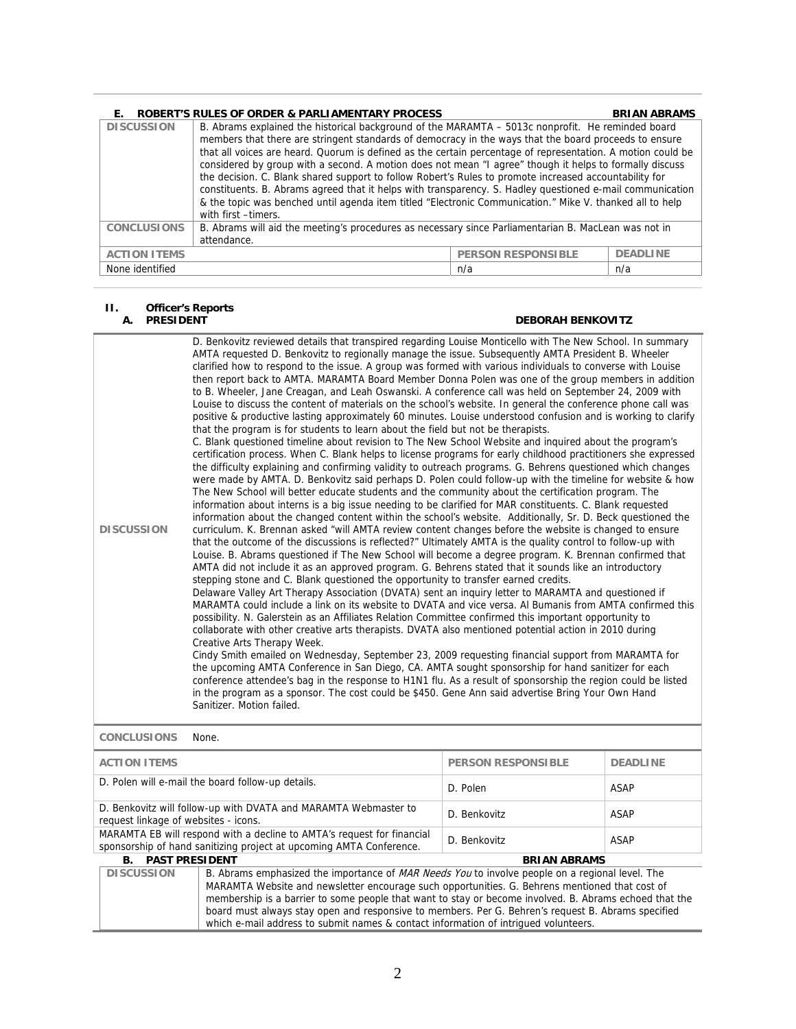| Е.                  | <b>ROBERT'S RULES OF ORDER &amp; PARLIAMENTARY PROCESS</b>                                                                                                                                                                                                                                                                                                                                                                                                                                                                                                                                                                                                                                                                                                                                     |                           | <b>BRIAN ABRAMS</b> |
|---------------------|------------------------------------------------------------------------------------------------------------------------------------------------------------------------------------------------------------------------------------------------------------------------------------------------------------------------------------------------------------------------------------------------------------------------------------------------------------------------------------------------------------------------------------------------------------------------------------------------------------------------------------------------------------------------------------------------------------------------------------------------------------------------------------------------|---------------------------|---------------------|
| <b>DISCUSSION</b>   | B. Abrams explained the historical background of the MARAMTA – 5013c nonprofit. He reminded board<br>members that there are stringent standards of democracy in the ways that the board proceeds to ensure<br>that all voices are heard. Quorum is defined as the certain percentage of representation. A motion could be<br>considered by group with a second. A motion does not mean "I agree" though it helps to formally discuss<br>the decision. C. Blank shared support to follow Robert's Rules to promote increased accountability for<br>constituents. B. Abrams agreed that it helps with transparency. S. Hadley questioned e-mail communication<br>& the topic was benched until agenda item titled "Electronic Communication." Mike V. thanked all to help<br>with first -timers. |                           |                     |
| <b>CONCLUSIONS</b>  | B. Abrams will aid the meeting's procedures as necessary since Parliamentarian B. MacLean was not in<br>attendance.                                                                                                                                                                                                                                                                                                                                                                                                                                                                                                                                                                                                                                                                            |                           |                     |
| <b>ACTION ITEMS</b> |                                                                                                                                                                                                                                                                                                                                                                                                                                                                                                                                                                                                                                                                                                                                                                                                | <b>PERSON RESPONSIBLE</b> | <b>DEADLINE</b>     |
| None identified     |                                                                                                                                                                                                                                                                                                                                                                                                                                                                                                                                                                                                                                                                                                                                                                                                | n/a                       | n/a                 |

# **II. Officer's Reports**

# **A. PRESIDENT DEBORAH BENKOVITZ**

| <b>DISCUSSION</b>                                                                                                                                                            | D. Benkovitz reviewed details that transpired regarding Louise Monticello with The New School. In summary<br>AMTA requested D. Benkovitz to regionally manage the issue. Subsequently AMTA President B. Wheeler<br>clarified how to respond to the issue. A group was formed with various individuals to converse with Louise<br>then report back to AMTA. MARAMTA Board Member Donna Polen was one of the group members in addition<br>to B. Wheeler, Jane Creagan, and Leah Oswanski. A conference call was held on September 24, 2009 with<br>Louise to discuss the content of materials on the school's website. In general the conference phone call was<br>positive & productive lasting approximately 60 minutes. Louise understood confusion and is working to clarify<br>that the program is for students to learn about the field but not be therapists.<br>C. Blank questioned timeline about revision to The New School Website and inquired about the program's<br>certification process. When C. Blank helps to license programs for early childhood practitioners she expressed<br>the difficulty explaining and confirming validity to outreach programs. G. Behrens questioned which changes<br>were made by AMTA. D. Benkovitz said perhaps D. Polen could follow-up with the timeline for website & how<br>The New School will better educate students and the community about the certification program. The<br>information about interns is a big issue needing to be clarified for MAR constituents. C. Blank requested<br>information about the changed content within the school's website. Additionally, Sr. D. Beck questioned the<br>curriculum. K. Brennan asked "will AMTA review content changes before the website is changed to ensure<br>that the outcome of the discussions is reflected?" Ultimately AMTA is the quality control to follow-up with<br>Louise. B. Abrams questioned if The New School will become a degree program. K. Brennan confirmed that<br>AMTA did not include it as an approved program. G. Behrens stated that it sounds like an introductory<br>stepping stone and C. Blank questioned the opportunity to transfer earned credits.<br>Delaware Valley Art Therapy Association (DVATA) sent an inquiry letter to MARAMTA and questioned if<br>MARAMTA could include a link on its website to DVATA and vice versa. Al Bumanis from AMTA confirmed this<br>possibility. N. Galerstein as an Affiliates Relation Committee confirmed this important opportunity to<br>collaborate with other creative arts therapists. DVATA also mentioned potential action in 2010 during<br>Creative Arts Therapy Week.<br>Cindy Smith emailed on Wednesday, September 23, 2009 requesting financial support from MARAMTA for<br>the upcoming AMTA Conference in San Diego, CA. AMTA sought sponsorship for hand sanitizer for each<br>conference attendee's bag in the response to H1N1 flu. As a result of sponsorship the region could be listed<br>in the program as a sponsor. The cost could be \$450. Gene Ann said advertise Bring Your Own Hand<br>Sanitizer. Motion failed. |              |             |
|------------------------------------------------------------------------------------------------------------------------------------------------------------------------------|-----------------------------------------------------------------------------------------------------------------------------------------------------------------------------------------------------------------------------------------------------------------------------------------------------------------------------------------------------------------------------------------------------------------------------------------------------------------------------------------------------------------------------------------------------------------------------------------------------------------------------------------------------------------------------------------------------------------------------------------------------------------------------------------------------------------------------------------------------------------------------------------------------------------------------------------------------------------------------------------------------------------------------------------------------------------------------------------------------------------------------------------------------------------------------------------------------------------------------------------------------------------------------------------------------------------------------------------------------------------------------------------------------------------------------------------------------------------------------------------------------------------------------------------------------------------------------------------------------------------------------------------------------------------------------------------------------------------------------------------------------------------------------------------------------------------------------------------------------------------------------------------------------------------------------------------------------------------------------------------------------------------------------------------------------------------------------------------------------------------------------------------------------------------------------------------------------------------------------------------------------------------------------------------------------------------------------------------------------------------------------------------------------------------------------------------------------------------------------------------------------------------------------------------------------------------------------------------------------------------------------------------------------------------------------------------------------------------------------------------------------------------------------------------------------------------------------------------------------------------------------------------------------------------------------------------------------------------------------------------------------------------------------------------------------------------------------------------------------------------------------------|--------------|-------------|
| <b>CONCLUSIONS</b>                                                                                                                                                           | None.                                                                                                                                                                                                                                                                                                                                                                                                                                                                                                                                                                                                                                                                                                                                                                                                                                                                                                                                                                                                                                                                                                                                                                                                                                                                                                                                                                                                                                                                                                                                                                                                                                                                                                                                                                                                                                                                                                                                                                                                                                                                                                                                                                                                                                                                                                                                                                                                                                                                                                                                                                                                                                                                                                                                                                                                                                                                                                                                                                                                                                                                                                                             |              |             |
| <b>ACTION ITEMS</b><br><b>PERSON RESPONSIBLE</b><br><b>DEADLINE</b>                                                                                                          |                                                                                                                                                                                                                                                                                                                                                                                                                                                                                                                                                                                                                                                                                                                                                                                                                                                                                                                                                                                                                                                                                                                                                                                                                                                                                                                                                                                                                                                                                                                                                                                                                                                                                                                                                                                                                                                                                                                                                                                                                                                                                                                                                                                                                                                                                                                                                                                                                                                                                                                                                                                                                                                                                                                                                                                                                                                                                                                                                                                                                                                                                                                                   |              |             |
| D. Polen will e-mail the board follow-up details.                                                                                                                            |                                                                                                                                                                                                                                                                                                                                                                                                                                                                                                                                                                                                                                                                                                                                                                                                                                                                                                                                                                                                                                                                                                                                                                                                                                                                                                                                                                                                                                                                                                                                                                                                                                                                                                                                                                                                                                                                                                                                                                                                                                                                                                                                                                                                                                                                                                                                                                                                                                                                                                                                                                                                                                                                                                                                                                                                                                                                                                                                                                                                                                                                                                                                   | D. Polen     | <b>ASAP</b> |
| D. Benkovitz will follow-up with DVATA and MARAMTA Webmaster to<br>request linkage of websites - icons.                                                                      |                                                                                                                                                                                                                                                                                                                                                                                                                                                                                                                                                                                                                                                                                                                                                                                                                                                                                                                                                                                                                                                                                                                                                                                                                                                                                                                                                                                                                                                                                                                                                                                                                                                                                                                                                                                                                                                                                                                                                                                                                                                                                                                                                                                                                                                                                                                                                                                                                                                                                                                                                                                                                                                                                                                                                                                                                                                                                                                                                                                                                                                                                                                                   | D. Benkovitz | <b>ASAP</b> |
| MARAMTA EB will respond with a decline to AMTA's request for financial<br><b>ASAP</b><br>D. Benkovitz<br>sponsorship of hand sanitizing project at upcoming AMTA Conference. |                                                                                                                                                                                                                                                                                                                                                                                                                                                                                                                                                                                                                                                                                                                                                                                                                                                                                                                                                                                                                                                                                                                                                                                                                                                                                                                                                                                                                                                                                                                                                                                                                                                                                                                                                                                                                                                                                                                                                                                                                                                                                                                                                                                                                                                                                                                                                                                                                                                                                                                                                                                                                                                                                                                                                                                                                                                                                                                                                                                                                                                                                                                                   |              |             |
| <b>PAST PRESIDENT</b><br><b>BRIAN ABRAMS</b><br>В.                                                                                                                           |                                                                                                                                                                                                                                                                                                                                                                                                                                                                                                                                                                                                                                                                                                                                                                                                                                                                                                                                                                                                                                                                                                                                                                                                                                                                                                                                                                                                                                                                                                                                                                                                                                                                                                                                                                                                                                                                                                                                                                                                                                                                                                                                                                                                                                                                                                                                                                                                                                                                                                                                                                                                                                                                                                                                                                                                                                                                                                                                                                                                                                                                                                                                   |              |             |
| <b>DISCUSSION</b>                                                                                                                                                            | B. Abrams emphasized the importance of MAR Needs You to involve people on a regional level. The<br>MARAMTA Website and newsletter encourage such opportunities. G. Behrens mentioned that cost of<br>membership is a barrier to some people that want to stay or become involved. B. Abrams echoed that the<br>board must always stay open and responsive to members. Per G. Behren's request B. Abrams specified<br>which e-mail address to submit names & contact information of intriqued volunteers.                                                                                                                                                                                                                                                                                                                                                                                                                                                                                                                                                                                                                                                                                                                                                                                                                                                                                                                                                                                                                                                                                                                                                                                                                                                                                                                                                                                                                                                                                                                                                                                                                                                                                                                                                                                                                                                                                                                                                                                                                                                                                                                                                                                                                                                                                                                                                                                                                                                                                                                                                                                                                          |              |             |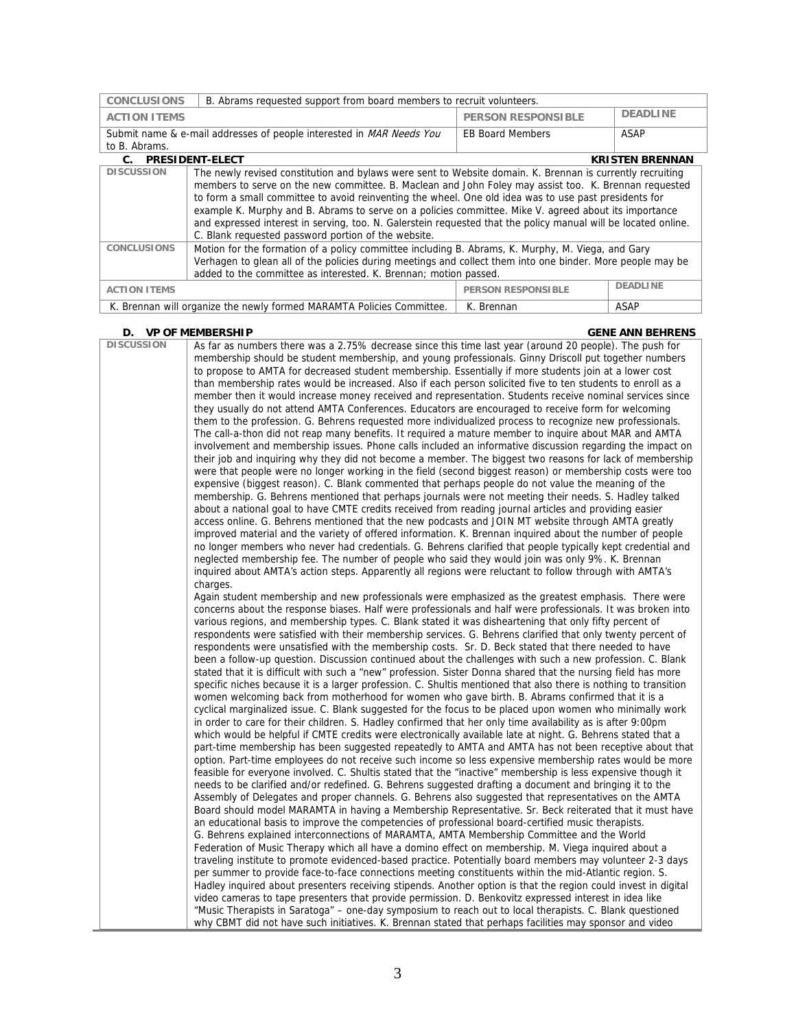| <b>CONCLUSIONS</b><br>B. Abrams requested support from board members to recruit volunteers. |                                                                                                                                                                                                                                                                                                                                                                                                                                                                                                                                                                                                               |                           |                        |
|---------------------------------------------------------------------------------------------|---------------------------------------------------------------------------------------------------------------------------------------------------------------------------------------------------------------------------------------------------------------------------------------------------------------------------------------------------------------------------------------------------------------------------------------------------------------------------------------------------------------------------------------------------------------------------------------------------------------|---------------------------|------------------------|
| <b>ACTION ITEMS</b>                                                                         |                                                                                                                                                                                                                                                                                                                                                                                                                                                                                                                                                                                                               | <b>PERSON RESPONSIBLE</b> | <b>DEADLINE</b>        |
|                                                                                             | Submit name & e-mail addresses of people interested in MAR Needs You                                                                                                                                                                                                                                                                                                                                                                                                                                                                                                                                          | <b>EB Board Members</b>   | ASAP                   |
| to B. Abrams.                                                                               |                                                                                                                                                                                                                                                                                                                                                                                                                                                                                                                                                                                                               |                           |                        |
| C. PRESIDENT-ELECT                                                                          |                                                                                                                                                                                                                                                                                                                                                                                                                                                                                                                                                                                                               |                           | <b>KRISTEN BRENNAN</b> |
| <b>DISCUSSION</b>                                                                           | The newly revised constitution and bylaws were sent to Website domain. K. Brennan is currently recruiting<br>members to serve on the new committee. B. Maclean and John Foley may assist too. K. Brennan requested<br>to form a small committee to avoid reinventing the wheel. One old idea was to use past presidents for<br>example K. Murphy and B. Abrams to serve on a policies committee. Mike V. agreed about its importance<br>and expressed interest in serving, too. N. Galerstein requested that the policy manual will be located online.<br>C. Blank requested password portion of the website. |                           |                        |
| <b>CONCLUSIONS</b>                                                                          | Motion for the formation of a policy committee including B. Abrams, K. Murphy, M. Viega, and Gary<br>Verhagen to glean all of the policies during meetings and collect them into one binder. More people may be<br>added to the committee as interested. K. Brennan; motion passed.                                                                                                                                                                                                                                                                                                                           |                           |                        |
| <b>ACTION ITEMS</b>                                                                         |                                                                                                                                                                                                                                                                                                                                                                                                                                                                                                                                                                                                               | <b>PERSON RESPONSIBLE</b> | <b>DEADLINE</b>        |
| K. Brennan will organize the newly formed MARAMTA Policies Committee.<br>K. Brennan         |                                                                                                                                                                                                                                                                                                                                                                                                                                                                                                                                                                                                               |                           | ASAP                   |

# **D. VP OF MEMBERSHIP GENE ANN BEHRENS**

| <b>DISCUSSION</b> | As far as numbers there was a 2.75% decrease since this time last year (around 20 people). The push for          |
|-------------------|------------------------------------------------------------------------------------------------------------------|
|                   | membership should be student membership, and young professionals. Ginny Driscoll put together numbers            |
|                   | to propose to AMTA for decreased student membership. Essentially if more students join at a lower cost           |
|                   | than membership rates would be increased. Also if each person solicited five to ten students to enroll as a      |
|                   | member then it would increase money received and representation. Students receive nominal services since         |
|                   | they usually do not attend AMTA Conferences. Educators are encouraged to receive form for welcoming              |
|                   | them to the profession. G. Behrens requested more individualized process to recognize new professionals.         |
|                   | The call-a-thon did not reap many benefits. It required a mature member to inquire about MAR and AMTA            |
|                   | involvement and membership issues. Phone calls included an informative discussion regarding the impact on        |
|                   | their job and inquiring why they did not become a member. The biggest two reasons for lack of membership         |
|                   | were that people were no longer working in the field (second biggest reason) or membership costs were too        |
|                   | expensive (biggest reason). C. Blank commented that perhaps people do not value the meaning of the               |
|                   | membership. G. Behrens mentioned that perhaps journals were not meeting their needs. S. Hadley talked            |
|                   | about a national goal to have CMTE credits received from reading journal articles and providing easier           |
|                   | access online. G. Behrens mentioned that the new podcasts and JOIN MT website through AMTA greatly               |
|                   | improved material and the variety of offered information. K. Brennan inquired about the number of people         |
|                   | no longer members who never had credentials. G. Behrens clarified that people typically kept credential and      |
|                   | neglected membership fee. The number of people who said they would join was only 9%. K. Brennan                  |
|                   | inquired about AMTA's action steps. Apparently all regions were reluctant to follow through with AMTA's          |
|                   | charges.                                                                                                         |
|                   | Again student membership and new professionals were emphasized as the greatest emphasis. There were              |
|                   | concerns about the response biases. Half were professionals and half were professionals. It was broken into      |
|                   | various regions, and membership types. C. Blank stated it was disheartening that only fifty percent of           |
|                   | respondents were satisfied with their membership services. G. Behrens clarified that only twenty percent of      |
|                   | respondents were unsatisfied with the membership costs. Sr. D. Beck stated that there needed to have             |
|                   | been a follow-up question. Discussion continued about the challenges with such a new profession. C. Blank        |
|                   | stated that it is difficult with such a "new" profession. Sister Donna shared that the nursing field has more    |
|                   | specific niches because it is a larger profession. C. Shultis mentioned that also there is nothing to transition |
|                   | women welcoming back from motherhood for women who gave birth. B. Abrams confirmed that it is a                  |
|                   | cyclical marginalized issue. C. Blank suggested for the focus to be placed upon women who minimally work         |
|                   | in order to care for their children. S. Hadley confirmed that her only time availability as is after 9:00pm      |
|                   | which would be helpful if CMTE credits were electronically available late at night. G. Behrens stated that a     |
|                   | part-time membership has been suggested repeatedly to AMTA and AMTA has not been receptive about that            |
|                   | option. Part-time employees do not receive such income so less expensive membership rates would be more          |
|                   | feasible for everyone involved. C. Shultis stated that the "inactive" membership is less expensive though it     |
|                   | needs to be clarified and/or redefined. G. Behrens suggested drafting a document and bringing it to the          |
|                   | Assembly of Delegates and proper channels. G. Behrens also suggested that representatives on the AMTA            |
|                   | Board should model MARAMTA in having a Membership Representative. Sr. Beck reiterated that it must have          |
|                   | an educational basis to improve the competencies of professional board-certified music therapists.               |
|                   | G. Behrens explained interconnections of MARAMTA, AMTA Membership Committee and the World                        |
|                   | Federation of Music Therapy which all have a domino effect on membership. M. Viega inquired about a              |
|                   | traveling institute to promote evidenced-based practice. Potentially board members may volunteer 2-3 days        |
|                   | per summer to provide face-to-face connections meeting constituents within the mid-Atlantic region. S.           |
|                   | Hadley inquired about presenters receiving stipends. Another option is that the region could invest in digital   |
|                   | video cameras to tape presenters that provide permission. D. Benkovitz expressed interest in idea like           |
|                   | "Music Therapists in Saratoga" - one-day symposium to reach out to local therapists. C. Blank questioned         |
|                   | why CBMT did not have such initiatives. K. Brennan stated that perhaps facilities may sponsor and video          |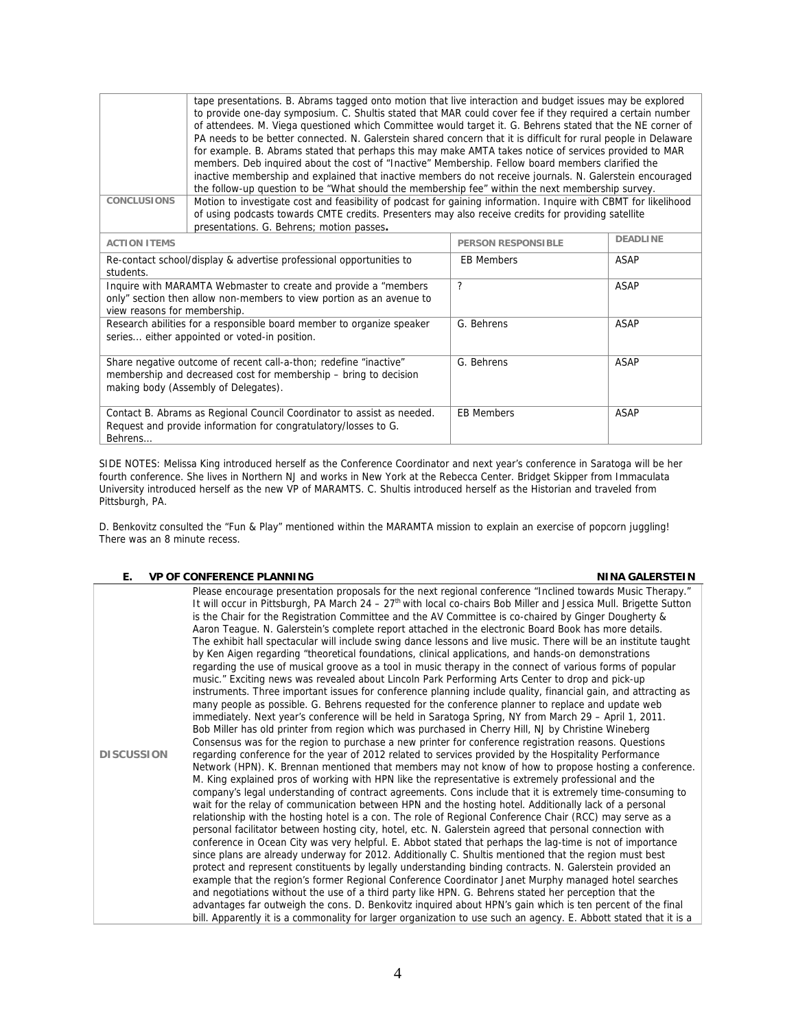|                                                                                                                                                                                                   | tape presentations. B. Abrams tagged onto motion that live interaction and budget issues may be explored<br>to provide one-day symposium. C. Shultis stated that MAR could cover fee if they required a certain number<br>of attendees. M. Viega questioned which Committee would target it. G. Behrens stated that the NE corner of<br>PA needs to be better connected. N. Galerstein shared concern that it is difficult for rural people in Delaware<br>for example. B. Abrams stated that perhaps this may make AMTA takes notice of services provided to MAR<br>members. Deb inquired about the cost of "Inactive" Membership. Fellow board members clarified the<br>inactive membership and explained that inactive members do not receive journals. N. Galerstein encouraged<br>the follow-up question to be "What should the membership fee" within the next membership survey. |                           |                 |
|---------------------------------------------------------------------------------------------------------------------------------------------------------------------------------------------------|-----------------------------------------------------------------------------------------------------------------------------------------------------------------------------------------------------------------------------------------------------------------------------------------------------------------------------------------------------------------------------------------------------------------------------------------------------------------------------------------------------------------------------------------------------------------------------------------------------------------------------------------------------------------------------------------------------------------------------------------------------------------------------------------------------------------------------------------------------------------------------------------|---------------------------|-----------------|
| <b>CONCLUSIONS</b>                                                                                                                                                                                | Motion to investigate cost and feasibility of podcast for gaining information. Inquire with CBMT for likelihood                                                                                                                                                                                                                                                                                                                                                                                                                                                                                                                                                                                                                                                                                                                                                                         |                           |                 |
|                                                                                                                                                                                                   | of using podcasts towards CMTE credits. Presenters may also receive credits for providing satellite<br>presentations. G. Behrens; motion passes.                                                                                                                                                                                                                                                                                                                                                                                                                                                                                                                                                                                                                                                                                                                                        |                           |                 |
| <b>ACTION ITEMS</b>                                                                                                                                                                               |                                                                                                                                                                                                                                                                                                                                                                                                                                                                                                                                                                                                                                                                                                                                                                                                                                                                                         | <b>PERSON RESPONSIBLE</b> | <b>DEADLINE</b> |
| Re-contact school/display & advertise professional opportunities to<br>students.                                                                                                                  |                                                                                                                                                                                                                                                                                                                                                                                                                                                                                                                                                                                                                                                                                                                                                                                                                                                                                         | <b>EB Members</b>         | ASAP            |
| $\mathcal{P}$<br>Inquire with MARAMTA Webmaster to create and provide a "members"<br>ASAP<br>only" section then allow non-members to view portion as an avenue to<br>view reasons for membership. |                                                                                                                                                                                                                                                                                                                                                                                                                                                                                                                                                                                                                                                                                                                                                                                                                                                                                         |                           |                 |
| Research abilities for a responsible board member to organize speaker<br>series either appointed or voted-in position.                                                                            |                                                                                                                                                                                                                                                                                                                                                                                                                                                                                                                                                                                                                                                                                                                                                                                                                                                                                         | G. Behrens                | <b>ASAP</b>     |
| Share negative outcome of recent call-a-thon; redefine "inactive"<br>membership and decreased cost for membership – bring to decision<br>making body (Assembly of Delegates).                     |                                                                                                                                                                                                                                                                                                                                                                                                                                                                                                                                                                                                                                                                                                                                                                                                                                                                                         | G. Behrens                | ASAP            |
| Contact B. Abrams as Regional Council Coordinator to assist as needed.<br>Request and provide information for congratulatory/losses to G.                                                         |                                                                                                                                                                                                                                                                                                                                                                                                                                                                                                                                                                                                                                                                                                                                                                                                                                                                                         | <b>EB Members</b>         | ASAP            |

SIDE NOTES: Melissa King introduced herself as the Conference Coordinator and next year's conference in Saratoga will be her fourth conference. She lives in Northern NJ and works in New York at the Rebecca Center. Bridget Skipper from Immaculata University introduced herself as the new VP of MARAMTS. C. Shultis introduced herself as the Historian and traveled from Pittsburgh, PA.

D. Benkovitz consulted the "Fun & Play" mentioned within the MARAMTA mission to explain an exercise of popcorn juggling! There was an 8 minute recess.

# **E.** VP OF CONFERENCE PLANNING **NINA GALERSTEIN**

Behrens…

| <b>DISCUSSION</b> | Please encourage presentation proposals for the next regional conference "Inclined towards Music Therapy."<br>It will occur in Pittsburgh, PA March 24 - 27 <sup>th</sup> with local co-chairs Bob Miller and Jessica Mull. Brigette Sutton<br>is the Chair for the Registration Committee and the AV Committee is co-chaired by Ginger Dougherty &<br>Aaron Teague. N. Galerstein's complete report attached in the electronic Board Book has more details.<br>The exhibit hall spectacular will include swing dance lessons and live music. There will be an institute taught<br>by Ken Aigen regarding "theoretical foundations, clinical applications, and hands-on demonstrations<br>regarding the use of musical groove as a tool in music therapy in the connect of various forms of popular<br>music." Exciting news was revealed about Lincoln Park Performing Arts Center to drop and pick-up<br>instruments. Three important issues for conference planning include quality, financial gain, and attracting as<br>many people as possible. G. Behrens requested for the conference planner to replace and update web<br>immediately. Next year's conference will be held in Saratoga Spring, NY from March 29 - April 1, 2011.<br>Bob Miller has old printer from region which was purchased in Cherry Hill, NJ by Christine Wineberg<br>Consensus was for the region to purchase a new printer for conference registration reasons. Questions<br>regarding conference for the year of 2012 related to services provided by the Hospitality Performance<br>Network (HPN). K. Brennan mentioned that members may not know of how to propose hosting a conference.<br>M. King explained pros of working with HPN like the representative is extremely professional and the<br>company's legal understanding of contract agreements. Cons include that it is extremely time-consuming to<br>wait for the relay of communication between HPN and the hosting hotel. Additionally lack of a personal<br>relationship with the hosting hotel is a con. The role of Regional Conference Chair (RCC) may serve as a<br>personal facilitator between hosting city, hotel, etc. N. Galerstein agreed that personal connection with<br>conference in Ocean City was very helpful. E. Abbot stated that perhaps the lag-time is not of importance<br>since plans are already underway for 2012. Additionally C. Shultis mentioned that the region must best<br>protect and represent constituents by legally understanding binding contracts. N. Galerstein provided an<br>example that the region's former Regional Conference Coordinator Janet Murphy managed hotel searches<br>and negotiations without the use of a third party like HPN. G. Behrens stated her perception that the<br>advantages far outweigh the cons. D. Benkovitz inquired about HPN's gain which is ten percent of the final<br>bill. Apparently it is a commonality for larger organization to use such an agency. E. Abbott stated that it is a |
|-------------------|----------------------------------------------------------------------------------------------------------------------------------------------------------------------------------------------------------------------------------------------------------------------------------------------------------------------------------------------------------------------------------------------------------------------------------------------------------------------------------------------------------------------------------------------------------------------------------------------------------------------------------------------------------------------------------------------------------------------------------------------------------------------------------------------------------------------------------------------------------------------------------------------------------------------------------------------------------------------------------------------------------------------------------------------------------------------------------------------------------------------------------------------------------------------------------------------------------------------------------------------------------------------------------------------------------------------------------------------------------------------------------------------------------------------------------------------------------------------------------------------------------------------------------------------------------------------------------------------------------------------------------------------------------------------------------------------------------------------------------------------------------------------------------------------------------------------------------------------------------------------------------------------------------------------------------------------------------------------------------------------------------------------------------------------------------------------------------------------------------------------------------------------------------------------------------------------------------------------------------------------------------------------------------------------------------------------------------------------------------------------------------------------------------------------------------------------------------------------------------------------------------------------------------------------------------------------------------------------------------------------------------------------------------------------------------------------------------------------------------------------------------------------------------------------------------------------------------------------------------------------------------------------------------------------------------------------------------------------------------------------------------------------------|
|                   |                                                                                                                                                                                                                                                                                                                                                                                                                                                                                                                                                                                                                                                                                                                                                                                                                                                                                                                                                                                                                                                                                                                                                                                                                                                                                                                                                                                                                                                                                                                                                                                                                                                                                                                                                                                                                                                                                                                                                                                                                                                                                                                                                                                                                                                                                                                                                                                                                                                                                                                                                                                                                                                                                                                                                                                                                                                                                                                                                                                                                            |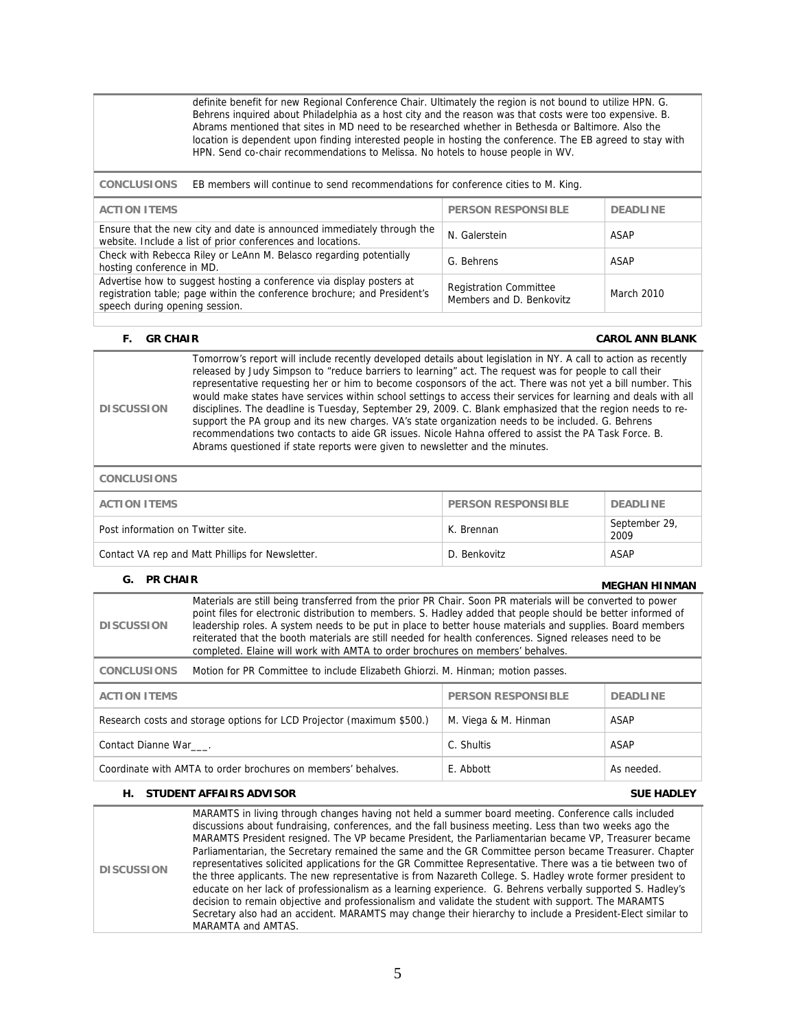definite benefit for new Regional Conference Chair. Ultimately the region is not bound to utilize HPN. G. Behrens inquired about Philadelphia as a host city and the reason was that costs were too expensive. B. Abrams mentioned that sites in MD need to be researched whether in Bethesda or Baltimore. Also the location is dependent upon finding interested people in hosting the conference. The EB agreed to stay with HPN. Send co-chair recommendations to Melissa. No hotels to house people in WV.

**CONCLUSIONS** EB members will continue to send recommendations for conference cities to M. King.

| <b>ACTION ITEMS</b>                                                                                                                                                                | <b>PERSON RESPONSIBLE</b>                                 | <b>DEADLINE</b> |
|------------------------------------------------------------------------------------------------------------------------------------------------------------------------------------|-----------------------------------------------------------|-----------------|
| Ensure that the new city and date is announced immediately through the<br>website. Include a list of prior conferences and locations.                                              | N. Galerstein                                             | ASAP            |
| Check with Rebecca Riley or LeAnn M. Belasco regarding potentially<br>hosting conference in MD.                                                                                    | G. Behrens                                                | ASAP            |
| Advertise how to suggest hosting a conference via display posters at<br>registration table; page within the conference brochure; and President's<br>speech during opening session. | <b>Registration Committee</b><br>Members and D. Benkovitz | March 2010      |

| <b>GR CHAIR</b><br>E. |                                                                                                                                                                                                                                                                                                                                                                                                                                                                                                                                                                                                                                                                                                                                                                                                                                                                          | <b>CAROL ANN BLANK</b> |
|-----------------------|--------------------------------------------------------------------------------------------------------------------------------------------------------------------------------------------------------------------------------------------------------------------------------------------------------------------------------------------------------------------------------------------------------------------------------------------------------------------------------------------------------------------------------------------------------------------------------------------------------------------------------------------------------------------------------------------------------------------------------------------------------------------------------------------------------------------------------------------------------------------------|------------------------|
| <b>DISCUSSION</b>     | Tomorrow's report will include recently developed details about legislation in NY. A call to action as recently<br>released by Judy Simpson to "reduce barriers to learning" act. The request was for people to call their<br>representative requesting her or him to become cosponsors of the act. There was not yet a bill number. This<br>would make states have services within school settings to access their services for learning and deals with all<br>disciplines. The deadline is Tuesday, September 29, 2009. C. Blank emphasized that the region needs to re-<br>support the PA group and its new charges. VA's state organization needs to be included. G. Behrens<br>recommendations two contacts to aide GR issues. Nicole Hahna offered to assist the PA Task Force, B.<br>Abrams questioned if state reports were given to newsletter and the minutes. |                        |
| <b>CONCLUSIONS</b>    |                                                                                                                                                                                                                                                                                                                                                                                                                                                                                                                                                                                                                                                                                                                                                                                                                                                                          |                        |
|                       |                                                                                                                                                                                                                                                                                                                                                                                                                                                                                                                                                                                                                                                                                                                                                                                                                                                                          |                        |

| <b>ACTION ITEMS</b>                              | <b>PERSON RESPONSIBLE</b> | <b>DEADLINE</b>       |
|--------------------------------------------------|---------------------------|-----------------------|
| Post information on Twitter site.                | K. Brennan                | September 29,<br>2009 |
| Contact VA rep and Matt Phillips for Newsletter. | D. Benkovitz              | <b>ASAP</b>           |

| G. PR CHAIR                                                                                           |                                                                                                                                                                                                                                                                                                                                                                                                                                                                                                                                       |  | <b>MEGHAN HINMAN</b> |
|-------------------------------------------------------------------------------------------------------|---------------------------------------------------------------------------------------------------------------------------------------------------------------------------------------------------------------------------------------------------------------------------------------------------------------------------------------------------------------------------------------------------------------------------------------------------------------------------------------------------------------------------------------|--|----------------------|
| <b>DISCUSSION</b>                                                                                     | Materials are still being transferred from the prior PR Chair. Soon PR materials will be converted to power<br>point files for electronic distribution to members. S. Hadley added that people should be better informed of<br>leadership roles. A system needs to be put in place to better house materials and supplies. Board members<br>reiterated that the booth materials are still needed for health conferences. Signed releases need to be<br>completed. Elaine will work with AMTA to order brochures on members' behalves. |  |                      |
| <b>CONCLUSIONS</b>                                                                                    | Motion for PR Committee to include Elizabeth Ghiorzi. M. Hinman; motion passes.                                                                                                                                                                                                                                                                                                                                                                                                                                                       |  |                      |
| <b>ACTION ITEMS</b>                                                                                   | <b>PERSON RESPONSIBLE</b><br><b>DEADLINE</b>                                                                                                                                                                                                                                                                                                                                                                                                                                                                                          |  |                      |
| Research costs and storage options for LCD Projector (maximum \$500.)<br>M. Viega & M. Hinman<br>ASAP |                                                                                                                                                                                                                                                                                                                                                                                                                                                                                                                                       |  |                      |
| C. Shultis<br>ASAP<br>Contact Dianne War.                                                             |                                                                                                                                                                                                                                                                                                                                                                                                                                                                                                                                       |  |                      |
| Coordinate with AMTA to order brochures on members' behalves.<br>E. Abbott<br>As needed.              |                                                                                                                                                                                                                                                                                                                                                                                                                                                                                                                                       |  |                      |

# **H. STUDENT AFFAIRS ADVISOR SUE HADLEY**

**DISCUSSION**  MARAMTS in living through changes having not held a summer board meeting. Conference calls included discussions about fundraising, conferences, and the fall business meeting. Less than two weeks ago the MARAMTS President resigned. The VP became President, the Parliamentarian became VP, Treasurer became Parliamentarian, the Secretary remained the same and the GR Committee person became Treasurer. Chapter representatives solicited applications for the GR Committee Representative. There was a tie between two of the three applicants. The new representative is from Nazareth College. S. Hadley wrote former president to educate on her lack of professionalism as a learning experience. G. Behrens verbally supported S. Hadley's decision to remain objective and professionalism and validate the student with support. The MARAMTS Secretary also had an accident. MARAMTS may change their hierarchy to include a President-Elect similar to MARAMTA and AMTAS.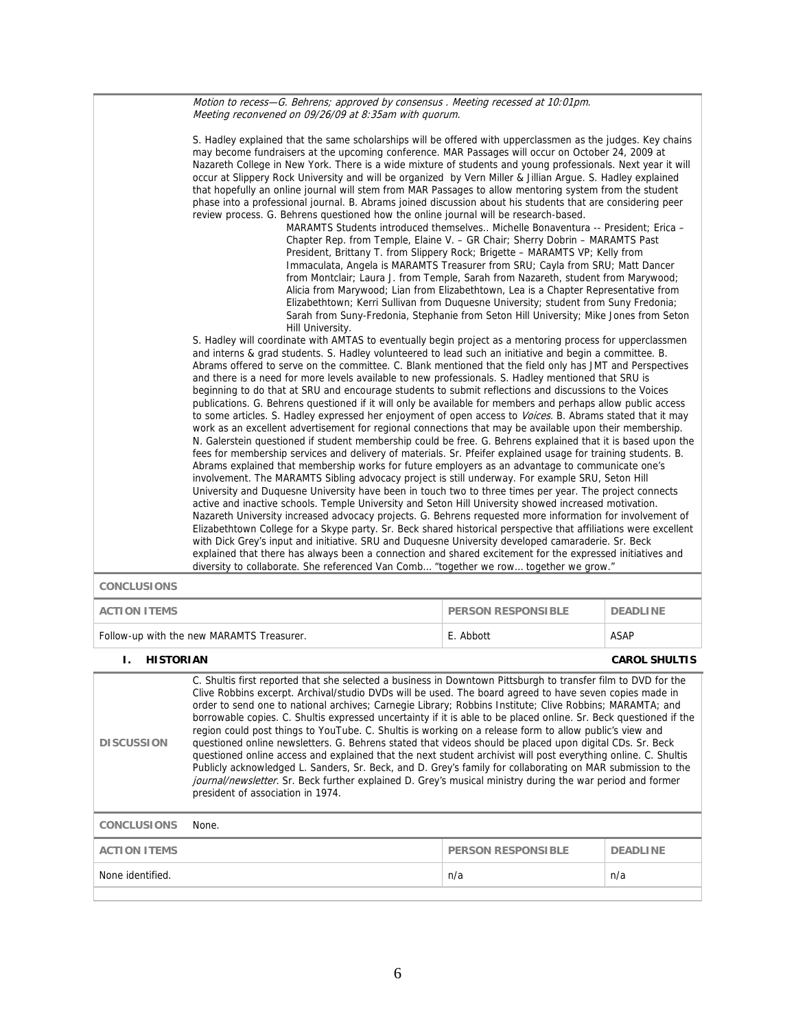Motion to recess—G. Behrens; approved by consensus . Meeting recessed at 10:01pm. Meeting reconvened on 09/26/09 at 8:35am with quorum.

|                        | S. Hadley explained that the same scholarships will be offered with upperclassmen as the judges. Key chains<br>may become fundraisers at the upcoming conference. MAR Passages will occur on October 24, 2009 at<br>Nazareth College in New York. There is a wide mixture of students and young professionals. Next year it will<br>occur at Slippery Rock University and will be organized by Vern Miller & Jillian Argue. S. Hadley explained<br>that hopefully an online journal will stem from MAR Passages to allow mentoring system from the student<br>phase into a professional journal. B. Abrams joined discussion about his students that are considering peer<br>review process. G. Behrens questioned how the online journal will be research-based.<br>MARAMTS Students introduced themselves Michelle Bonaventura -- President; Erica -<br>Chapter Rep. from Temple, Elaine V. - GR Chair; Sherry Dobrin - MARAMTS Past<br>President, Brittany T. from Slippery Rock; Brigette - MARAMTS VP; Kelly from<br>Immaculata, Angela is MARAMTS Treasurer from SRU; Cayla from SRU; Matt Dancer<br>from Montclair; Laura J. from Temple, Sarah from Nazareth, student from Marywood;<br>Alicia from Marywood; Lian from Elizabethtown, Lea is a Chapter Representative from<br>Elizabethtown; Kerri Sullivan from Duquesne University; student from Suny Fredonia;<br>Sarah from Suny-Fredonia, Stephanie from Seton Hill University; Mike Jones from Seton<br>Hill University.<br>S. Hadley will coordinate with AMTAS to eventually begin project as a mentoring process for upperclassmen<br>and interns & grad students. S. Hadley volunteered to lead such an initiative and begin a committee. B.<br>Abrams offered to serve on the committee. C. Blank mentioned that the field only has JMT and Perspectives<br>and there is a need for more levels available to new professionals. S. Hadley mentioned that SRU is<br>beginning to do that at SRU and encourage students to submit reflections and discussions to the Voices<br>publications. G. Behrens questioned if it will only be available for members and perhaps allow public access<br>to some articles. S. Hadley expressed her enjoyment of open access to Voices. B. Abrams stated that it may<br>work as an excellent advertisement for regional connections that may be available upon their membership.<br>N. Galerstein questioned if student membership could be free. G. Behrens explained that it is based upon the<br>fees for membership services and delivery of materials. Sr. Pfeifer explained usage for training students. B.<br>Abrams explained that membership works for future employers as an advantage to communicate one's<br>involvement. The MARAMTS Sibling advocacy project is still underway. For example SRU, Seton Hill<br>University and Duquesne University have been in touch two to three times per year. The project connects<br>active and inactive schools. Temple University and Seton Hill University showed increased motivation.<br>Nazareth University increased advocacy projects. G. Behrens requested more information for involvement of<br>Elizabethtown College for a Skype party. Sr. Beck shared historical perspective that affiliations were excellent<br>with Dick Grey's input and initiative. SRU and Duquesne University developed camaraderie. Sr. Beck<br>explained that there has always been a connection and shared excitement for the expressed initiatives and |                           |                      |  |
|------------------------|----------------------------------------------------------------------------------------------------------------------------------------------------------------------------------------------------------------------------------------------------------------------------------------------------------------------------------------------------------------------------------------------------------------------------------------------------------------------------------------------------------------------------------------------------------------------------------------------------------------------------------------------------------------------------------------------------------------------------------------------------------------------------------------------------------------------------------------------------------------------------------------------------------------------------------------------------------------------------------------------------------------------------------------------------------------------------------------------------------------------------------------------------------------------------------------------------------------------------------------------------------------------------------------------------------------------------------------------------------------------------------------------------------------------------------------------------------------------------------------------------------------------------------------------------------------------------------------------------------------------------------------------------------------------------------------------------------------------------------------------------------------------------------------------------------------------------------------------------------------------------------------------------------------------------------------------------------------------------------------------------------------------------------------------------------------------------------------------------------------------------------------------------------------------------------------------------------------------------------------------------------------------------------------------------------------------------------------------------------------------------------------------------------------------------------------------------------------------------------------------------------------------------------------------------------------------------------------------------------------------------------------------------------------------------------------------------------------------------------------------------------------------------------------------------------------------------------------------------------------------------------------------------------------------------------------------------------------------------------------------------------------------------------------------------------------------------------------------------------------------------------------------------------------------------------------------------------------------------------------------------------------------------------------------------------------------------------------------------------------------------------------------------------------------------------------------------------------------------------------------------------|---------------------------|----------------------|--|
| <b>CONCLUSIONS</b>     | diversity to collaborate. She referenced Van Comb "together we row together we grow."                                                                                                                                                                                                                                                                                                                                                                                                                                                                                                                                                                                                                                                                                                                                                                                                                                                                                                                                                                                                                                                                                                                                                                                                                                                                                                                                                                                                                                                                                                                                                                                                                                                                                                                                                                                                                                                                                                                                                                                                                                                                                                                                                                                                                                                                                                                                                                                                                                                                                                                                                                                                                                                                                                                                                                                                                                                                                                                                                                                                                                                                                                                                                                                                                                                                                                                                                                                                                    |                           |                      |  |
| <b>ACTION ITEMS</b>    |                                                                                                                                                                                                                                                                                                                                                                                                                                                                                                                                                                                                                                                                                                                                                                                                                                                                                                                                                                                                                                                                                                                                                                                                                                                                                                                                                                                                                                                                                                                                                                                                                                                                                                                                                                                                                                                                                                                                                                                                                                                                                                                                                                                                                                                                                                                                                                                                                                                                                                                                                                                                                                                                                                                                                                                                                                                                                                                                                                                                                                                                                                                                                                                                                                                                                                                                                                                                                                                                                                          | <b>PERSON RESPONSIBLE</b> | <b>DEADLINE</b>      |  |
|                        | Follow-up with the new MARAMTS Treasurer.                                                                                                                                                                                                                                                                                                                                                                                                                                                                                                                                                                                                                                                                                                                                                                                                                                                                                                                                                                                                                                                                                                                                                                                                                                                                                                                                                                                                                                                                                                                                                                                                                                                                                                                                                                                                                                                                                                                                                                                                                                                                                                                                                                                                                                                                                                                                                                                                                                                                                                                                                                                                                                                                                                                                                                                                                                                                                                                                                                                                                                                                                                                                                                                                                                                                                                                                                                                                                                                                | E. Abbott                 | <b>ASAP</b>          |  |
| Ι.<br><b>HISTORIAN</b> |                                                                                                                                                                                                                                                                                                                                                                                                                                                                                                                                                                                                                                                                                                                                                                                                                                                                                                                                                                                                                                                                                                                                                                                                                                                                                                                                                                                                                                                                                                                                                                                                                                                                                                                                                                                                                                                                                                                                                                                                                                                                                                                                                                                                                                                                                                                                                                                                                                                                                                                                                                                                                                                                                                                                                                                                                                                                                                                                                                                                                                                                                                                                                                                                                                                                                                                                                                                                                                                                                                          |                           | <b>CAROL SHULTIS</b> |  |
| <b>DISCUSSION</b>      | C. Shultis first reported that she selected a business in Downtown Pittsburgh to transfer film to DVD for the<br>Clive Robbins excerpt. Archival/studio DVDs will be used. The board agreed to have seven copies made in<br>order to send one to national archives; Carnegie Library; Robbins Institute; Clive Robbins; MARAMTA; and<br>borrowable copies. C. Shultis expressed uncertainty if it is able to be placed online. Sr. Beck questioned if the<br>region could post things to YouTube. C. Shultis is working on a release form to allow public's view and<br>questioned online newsletters. G. Behrens stated that videos should be placed upon digital CDs. Sr. Beck<br>questioned online access and explained that the next student archivist will post everything online. C. Shultis<br>Publicly acknowledged L. Sanders, Sr. Beck, and D. Grey's family for collaborating on MAR submission to the<br>journal/newsletter. Sr. Beck further explained D. Grey's musical ministry during the war period and former<br>president of association in 1974.                                                                                                                                                                                                                                                                                                                                                                                                                                                                                                                                                                                                                                                                                                                                                                                                                                                                                                                                                                                                                                                                                                                                                                                                                                                                                                                                                                                                                                                                                                                                                                                                                                                                                                                                                                                                                                                                                                                                                                                                                                                                                                                                                                                                                                                                                                                                                                                                                                     |                           |                      |  |
| <b>CONCLUSIONS</b>     | None.                                                                                                                                                                                                                                                                                                                                                                                                                                                                                                                                                                                                                                                                                                                                                                                                                                                                                                                                                                                                                                                                                                                                                                                                                                                                                                                                                                                                                                                                                                                                                                                                                                                                                                                                                                                                                                                                                                                                                                                                                                                                                                                                                                                                                                                                                                                                                                                                                                                                                                                                                                                                                                                                                                                                                                                                                                                                                                                                                                                                                                                                                                                                                                                                                                                                                                                                                                                                                                                                                                    |                           |                      |  |
| <b>ACTION ITEMS</b>    |                                                                                                                                                                                                                                                                                                                                                                                                                                                                                                                                                                                                                                                                                                                                                                                                                                                                                                                                                                                                                                                                                                                                                                                                                                                                                                                                                                                                                                                                                                                                                                                                                                                                                                                                                                                                                                                                                                                                                                                                                                                                                                                                                                                                                                                                                                                                                                                                                                                                                                                                                                                                                                                                                                                                                                                                                                                                                                                                                                                                                                                                                                                                                                                                                                                                                                                                                                                                                                                                                                          | <b>PERSON RESPONSIBLE</b> | <b>DEADLINE</b>      |  |
| None identified.       | n/a<br>n/a                                                                                                                                                                                                                                                                                                                                                                                                                                                                                                                                                                                                                                                                                                                                                                                                                                                                                                                                                                                                                                                                                                                                                                                                                                                                                                                                                                                                                                                                                                                                                                                                                                                                                                                                                                                                                                                                                                                                                                                                                                                                                                                                                                                                                                                                                                                                                                                                                                                                                                                                                                                                                                                                                                                                                                                                                                                                                                                                                                                                                                                                                                                                                                                                                                                                                                                                                                                                                                                                                               |                           |                      |  |
|                        |                                                                                                                                                                                                                                                                                                                                                                                                                                                                                                                                                                                                                                                                                                                                                                                                                                                                                                                                                                                                                                                                                                                                                                                                                                                                                                                                                                                                                                                                                                                                                                                                                                                                                                                                                                                                                                                                                                                                                                                                                                                                                                                                                                                                                                                                                                                                                                                                                                                                                                                                                                                                                                                                                                                                                                                                                                                                                                                                                                                                                                                                                                                                                                                                                                                                                                                                                                                                                                                                                                          |                           |                      |  |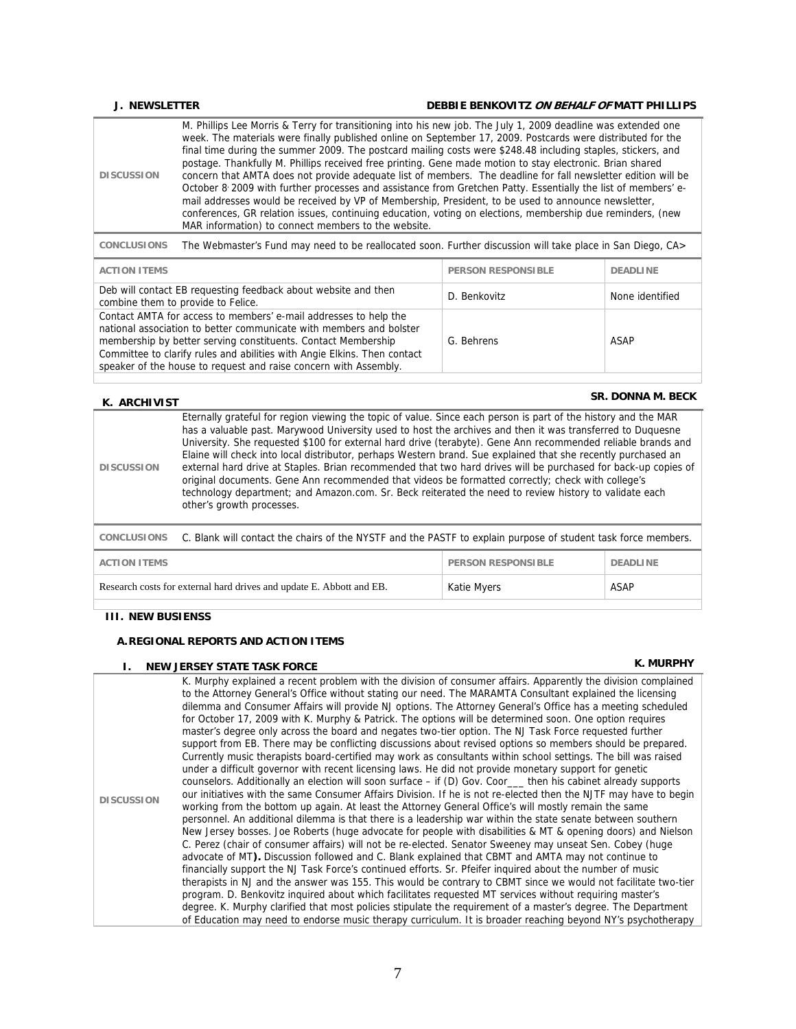### **J. NEWSLETTER DEBBIE BENKOVITZ ON BEHALF OF MATT PHILLIPS**

|  | <b>DISCUSSION</b> | M. Phillips Lee Morris & Terry for transitioning into his new job. The July 1, 2009 deadline was extended one<br>week. The materials were finally published online on September 17, 2009. Postcards were distributed for the<br>final time during the summer 2009. The postcard mailing costs were \$248.48 including staples, stickers, and<br>postage. Thankfully M. Phillips received free printing. Gene made motion to stay electronic. Brian shared<br>concern that AMTA does not provide adequate list of members. The deadline for fall newsletter edition will be<br>October 8: 2009 with further processes and assistance from Gretchen Patty. Essentially the list of members' e-<br>mail addresses would be received by VP of Membership, President, to be used to announce newsletter,<br>conferences, GR relation issues, continuing education, voting on elections, membership due reminders, (new<br>MAR information) to connect members to the website. |
|--|-------------------|--------------------------------------------------------------------------------------------------------------------------------------------------------------------------------------------------------------------------------------------------------------------------------------------------------------------------------------------------------------------------------------------------------------------------------------------------------------------------------------------------------------------------------------------------------------------------------------------------------------------------------------------------------------------------------------------------------------------------------------------------------------------------------------------------------------------------------------------------------------------------------------------------------------------------------------------------------------------------|
|--|-------------------|--------------------------------------------------------------------------------------------------------------------------------------------------------------------------------------------------------------------------------------------------------------------------------------------------------------------------------------------------------------------------------------------------------------------------------------------------------------------------------------------------------------------------------------------------------------------------------------------------------------------------------------------------------------------------------------------------------------------------------------------------------------------------------------------------------------------------------------------------------------------------------------------------------------------------------------------------------------------------|

**CONCLUSIONS** The Webmaster's Fund may need to be reallocated soon. Further discussion will take place in San Diego, CA>

| <b>ACTION ITEMS</b>                                                                                                                                                                                                                                                                                                                                      | <b>PERSON RESPONSIBLE</b> | <b>DEADLINE</b> |
|----------------------------------------------------------------------------------------------------------------------------------------------------------------------------------------------------------------------------------------------------------------------------------------------------------------------------------------------------------|---------------------------|-----------------|
| Deb will contact EB requesting feedback about website and then<br>combine them to provide to Felice.                                                                                                                                                                                                                                                     | D. Benkovitz              | None identified |
| Contact AMTA for access to members' e-mail addresses to help the<br>national association to better communicate with members and bolster<br>membership by better serving constituents. Contact Membership<br>Committee to clarify rules and abilities with Angie Elkins. Then contact<br>speaker of the house to request and raise concern with Assembly. | G. Behrens                | ASAP            |

# **K. ARCHIVIST SR. DONNA M. BECK**

| <b>DISCUSSION</b>                                                   | Eternally grateful for region viewing the topic of value. Since each person is part of the history and the MAR<br>has a valuable past. Marywood University used to host the archives and then it was transferred to Duquesne<br>University. She requested \$100 for external hard drive (terabyte). Gene Ann recommended reliable brands and<br>Elaine will check into local distributor, perhaps Western brand. Sue explained that she recently purchased an<br>external hard drive at Staples. Brian recommended that two hard drives will be purchased for back-up copies of<br>original documents. Gene Ann recommended that videos be formatted correctly; check with college's<br>technology department; and Amazon.com. Sr. Beck reiterated the need to review history to validate each<br>other's growth processes. |  |  |
|---------------------------------------------------------------------|-----------------------------------------------------------------------------------------------------------------------------------------------------------------------------------------------------------------------------------------------------------------------------------------------------------------------------------------------------------------------------------------------------------------------------------------------------------------------------------------------------------------------------------------------------------------------------------------------------------------------------------------------------------------------------------------------------------------------------------------------------------------------------------------------------------------------------|--|--|
| <b>CONCLUSIONS</b>                                                  | C. Blank will contact the chairs of the NYSTF and the PASTF to explain purpose of student task force members.                                                                                                                                                                                                                                                                                                                                                                                                                                                                                                                                                                                                                                                                                                               |  |  |
| <b>ACTION ITEMS</b><br><b>PERSON RESPONSIBLE</b><br><b>DEADLINE</b> |                                                                                                                                                                                                                                                                                                                                                                                                                                                                                                                                                                                                                                                                                                                                                                                                                             |  |  |
|                                                                     | Research costs for external hard drives and update E. Abbott and EB.<br>Katie Myers<br>ASAP                                                                                                                                                                                                                                                                                                                                                                                                                                                                                                                                                                                                                                                                                                                                 |  |  |

## **III. NEW BUSIENSS**

### **A.REGIONAL REPORTS AND ACTION ITEMS**

# **I. NEW JERSEY STATE TASK FORCE K. MURPHY**

**DISCUSSION**  K. Murphy explained a recent problem with the division of consumer affairs. Apparently the division complained to the Attorney General's Office without stating our need. The MARAMTA Consultant explained the licensing dilemma and Consumer Affairs will provide NJ options. The Attorney General's Office has a meeting scheduled for October 17, 2009 with K. Murphy & Patrick. The options will be determined soon. One option requires master's degree only across the board and negates two-tier option. The NJ Task Force requested further support from EB. There may be conflicting discussions about revised options so members should be prepared. Currently music therapists board-certified may work as consultants within school settings. The bill was raised under a difficult governor with recent licensing laws. He did not provide monetary support for genetic counselors. Additionally an election will soon surface – if (D) Gov. Coor\_\_\_ then his cabinet already supports our initiatives with the same Consumer Affairs Division. If he is not re-elected then the NJTF may have to begin working from the bottom up again. At least the Attorney General Office's will mostly remain the same personnel. An additional dilemma is that there is a leadership war within the state senate between southern New Jersey bosses. Joe Roberts (huge advocate for people with disabilities & MT & opening doors) and Nielson C. Perez (chair of consumer affairs) will not be re-elected. Senator Sweeney may unseat Sen. Cobey (huge advocate of MT**).** Discussion followed and C. Blank explained that CBMT and AMTA may not continue to financially support the NJ Task Force's continued efforts. Sr. Pfeifer inquired about the number of music therapists in NJ and the answer was 155. This would be contrary to CBMT since we would not facilitate two-tier program. D. Benkovitz inquired about which facilitates requested MT services without requiring master's degree. K. Murphy clarified that most policies stipulate the requirement of a master's degree. The Department of Education may need to endorse music therapy curriculum. It is broader reaching beyond NY's psychotherapy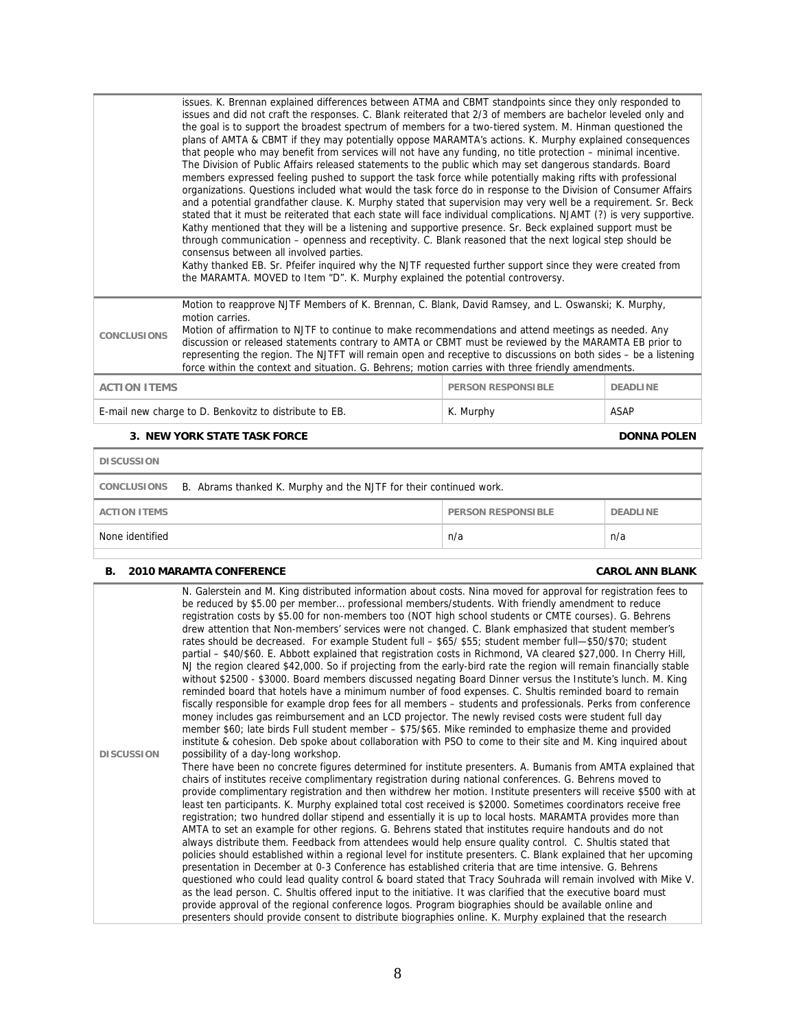|                                                                                                                                                                                                                                                                                                                                                                                                                                                                                                                                                                                         | issues. K. Brennan explained differences between ATMA and CBMT standpoints since they only responded to<br>issues and did not craft the responses. C. Blank reiterated that 2/3 of members are bachelor leveled only and<br>the goal is to support the broadest spectrum of members for a two-tiered system. M. Hinman questioned the<br>plans of AMTA & CBMT if they may potentially oppose MARAMTA's actions. K. Murphy explained consequences<br>that people who may benefit from services will not have any funding, no title protection – minimal incentive.<br>The Division of Public Affairs released statements to the public which may set dangerous standards. Board<br>members expressed feeling pushed to support the task force while potentially making rifts with professional<br>organizations. Questions included what would the task force do in response to the Division of Consumer Affairs<br>and a potential grandfather clause. K. Murphy stated that supervision may very well be a requirement. Sr. Beck<br>stated that it must be reiterated that each state will face individual complications. NJAMT (?) is very supportive.<br>Kathy mentioned that they will be a listening and supportive presence. Sr. Beck explained support must be<br>through communication – openness and receptivity. C. Blank reasoned that the next logical step should be<br>consensus between all involved parties.<br>Kathy thanked EB. Sr. Pfeifer inquired why the NJTF requested further support since they were created from<br>the MARAMTA. MOVED to Item "D". K. Murphy explained the potential controversy. |  |  |
|-----------------------------------------------------------------------------------------------------------------------------------------------------------------------------------------------------------------------------------------------------------------------------------------------------------------------------------------------------------------------------------------------------------------------------------------------------------------------------------------------------------------------------------------------------------------------------------------|------------------------------------------------------------------------------------------------------------------------------------------------------------------------------------------------------------------------------------------------------------------------------------------------------------------------------------------------------------------------------------------------------------------------------------------------------------------------------------------------------------------------------------------------------------------------------------------------------------------------------------------------------------------------------------------------------------------------------------------------------------------------------------------------------------------------------------------------------------------------------------------------------------------------------------------------------------------------------------------------------------------------------------------------------------------------------------------------------------------------------------------------------------------------------------------------------------------------------------------------------------------------------------------------------------------------------------------------------------------------------------------------------------------------------------------------------------------------------------------------------------------------------------------------------------------------------------------------------------------------------|--|--|
| Motion to reapprove NJTF Members of K. Brennan, C. Blank, David Ramsey, and L. Oswanski; K. Murphy,<br>motion carries.<br>Motion of affirmation to NJTF to continue to make recommendations and attend meetings as needed. Any<br><b>CONCLUSIONS</b><br>discussion or released statements contrary to AMTA or CBMT must be reviewed by the MARAMTA EB prior to<br>representing the region. The NJTFT will remain open and receptive to discussions on both sides – be a listening<br>force within the context and situation. G. Behrens; motion carries with three friendly amendments. |                                                                                                                                                                                                                                                                                                                                                                                                                                                                                                                                                                                                                                                                                                                                                                                                                                                                                                                                                                                                                                                                                                                                                                                                                                                                                                                                                                                                                                                                                                                                                                                                                              |  |  |
| <b>ACTION ITEMS</b><br><b>PERSON RESPONSIBLE</b><br><b>DEADLINE</b>                                                                                                                                                                                                                                                                                                                                                                                                                                                                                                                     |                                                                                                                                                                                                                                                                                                                                                                                                                                                                                                                                                                                                                                                                                                                                                                                                                                                                                                                                                                                                                                                                                                                                                                                                                                                                                                                                                                                                                                                                                                                                                                                                                              |  |  |
|                                                                                                                                                                                                                                                                                                                                                                                                                                                                                                                                                                                         | E-mail new charge to D. Benkovitz to distribute to EB.<br><b>ASAP</b><br>K. Murphy                                                                                                                                                                                                                                                                                                                                                                                                                                                                                                                                                                                                                                                                                                                                                                                                                                                                                                                                                                                                                                                                                                                                                                                                                                                                                                                                                                                                                                                                                                                                           |  |  |

### **3. NEW YORK STATE TASK FORCE DONNA POLEN**

| <b>DISCUSSION</b>   |                                                                                |                           |                 |
|---------------------|--------------------------------------------------------------------------------|---------------------------|-----------------|
|                     | CONCLUSIONS B. Abrams thanked K. Murphy and the NJTF for their continued work. |                           |                 |
| <b>ACTION ITEMS</b> |                                                                                | <b>PERSON RESPONSIBLE</b> | <b>DEADLINE</b> |
| None identified     |                                                                                | n/a                       | n/a             |
|                     |                                                                                |                           |                 |

# **B. 2010 MARAMTA CONFERENCE CAROL ANN BLANK**

**DISCUSSION**  N. Galerstein and M. King distributed information about costs. Nina moved for approval for registration fees to be reduced by \$5.00 per member… professional members/students. With friendly amendment to reduce registration costs by \$5.00 for non-members too (NOT high school students or CMTE courses). G. Behrens drew attention that Non-members' services were not changed. C. Blank emphasized that student member's rates should be decreased. For example Student full – \$65/ \$55; student member full—\$50/\$70; student partial – \$40/\$60. E. Abbott explained that registration costs in Richmond, VA cleared \$27,000. In Cherry Hill, NJ the region cleared \$42,000. So if projecting from the early-bird rate the region will remain financially stable without \$2500 - \$3000. Board members discussed negating Board Dinner versus the Institute's lunch. M. King reminded board that hotels have a minimum number of food expenses. C. Shultis reminded board to remain fiscally responsible for example drop fees for all members – students and professionals. Perks from conference money includes gas reimbursement and an LCD projector. The newly revised costs were student full day member \$60; late birds Full student member – \$75/\$65. Mike reminded to emphasize theme and provided institute & cohesion. Deb spoke about collaboration with PSO to come to their site and M. King inquired about possibility of a day-long workshop. There have been no concrete figures determined for institute presenters. A. Bumanis from AMTA explained that chairs of institutes receive complimentary registration during national conferences. G. Behrens moved to provide complimentary registration and then withdrew her motion. Institute presenters will receive \$500 with at least ten participants. K. Murphy explained total cost received is \$2000. Sometimes coordinators receive free registration; two hundred dollar stipend and essentially it is up to local hosts. MARAMTA provides more than AMTA to set an example for other regions. G. Behrens stated that institutes require handouts and do not always distribute them. Feedback from attendees would help ensure quality control. C. Shultis stated that policies should established within a regional level for institute presenters. C. Blank explained that her upcoming presentation in December at 0-3 Conference has established criteria that are time intensive. G. Behrens questioned who could lead quality control & board stated that Tracy Souhrada will remain involved with Mike V. as the lead person. C. Shultis offered input to the initiative. It was clarified that the executive board must provide approval of the regional conference logos. Program biographies should be available online and presenters should provide consent to distribute biographies online. K. Murphy explained that the research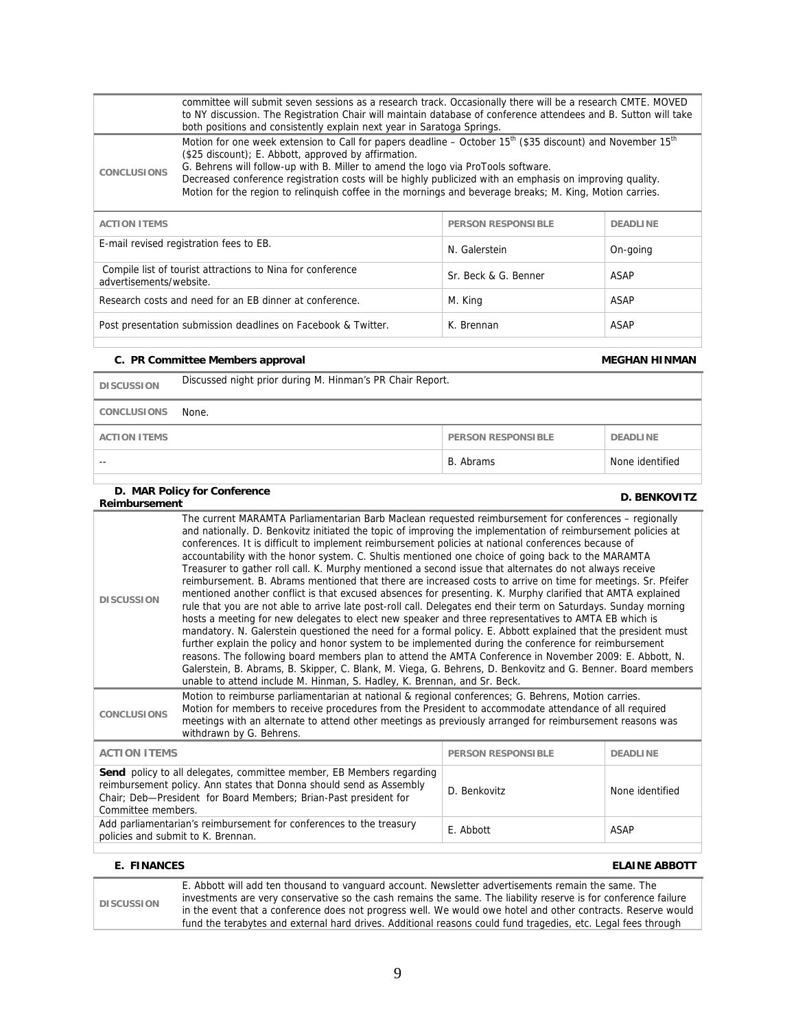|                                                                                                                                                                                                                                                                                                                                                                                                                                                                                                                                                                                                                                                                                                                                                                                                                                                                                                                                                                                                                                                                                                                                                                                                                                                                                                                                                                                                                                                                                                                                                                 | committee will submit seven sessions as a research track. Occasionally there will be a research CMTE. MOVED<br>to NY discussion. The Registration Chair will maintain database of conference attendees and B. Sutton will take                                                                                                                                                                                                                                                                                                                                                    |                           |                      |  |
|-----------------------------------------------------------------------------------------------------------------------------------------------------------------------------------------------------------------------------------------------------------------------------------------------------------------------------------------------------------------------------------------------------------------------------------------------------------------------------------------------------------------------------------------------------------------------------------------------------------------------------------------------------------------------------------------------------------------------------------------------------------------------------------------------------------------------------------------------------------------------------------------------------------------------------------------------------------------------------------------------------------------------------------------------------------------------------------------------------------------------------------------------------------------------------------------------------------------------------------------------------------------------------------------------------------------------------------------------------------------------------------------------------------------------------------------------------------------------------------------------------------------------------------------------------------------|-----------------------------------------------------------------------------------------------------------------------------------------------------------------------------------------------------------------------------------------------------------------------------------------------------------------------------------------------------------------------------------------------------------------------------------------------------------------------------------------------------------------------------------------------------------------------------------|---------------------------|----------------------|--|
| <b>CONCLUSIONS</b>                                                                                                                                                                                                                                                                                                                                                                                                                                                                                                                                                                                                                                                                                                                                                                                                                                                                                                                                                                                                                                                                                                                                                                                                                                                                                                                                                                                                                                                                                                                                              | both positions and consistently explain next year in Saratoga Springs.<br>Motion for one week extension to Call for papers deadline – October 15 <sup>th</sup> (\$35 discount) and November 15 <sup>th</sup><br>(\$25 discount); E. Abbott, approved by affirmation.<br>G. Behrens will follow-up with B. Miller to amend the logo via ProTools software.<br>Decreased conference registration costs will be highly publicized with an emphasis on improving quality.<br>Motion for the region to relinquish coffee in the mornings and beverage breaks; M. King, Motion carries. |                           |                      |  |
| <b>ACTION ITEMS</b>                                                                                                                                                                                                                                                                                                                                                                                                                                                                                                                                                                                                                                                                                                                                                                                                                                                                                                                                                                                                                                                                                                                                                                                                                                                                                                                                                                                                                                                                                                                                             |                                                                                                                                                                                                                                                                                                                                                                                                                                                                                                                                                                                   | <b>PERSON RESPONSIBLE</b> | <b>DEADLINE</b>      |  |
|                                                                                                                                                                                                                                                                                                                                                                                                                                                                                                                                                                                                                                                                                                                                                                                                                                                                                                                                                                                                                                                                                                                                                                                                                                                                                                                                                                                                                                                                                                                                                                 | E-mail revised registration fees to EB.                                                                                                                                                                                                                                                                                                                                                                                                                                                                                                                                           | N. Galerstein             | On-going             |  |
| advertisements/website.                                                                                                                                                                                                                                                                                                                                                                                                                                                                                                                                                                                                                                                                                                                                                                                                                                                                                                                                                                                                                                                                                                                                                                                                                                                                                                                                                                                                                                                                                                                                         | Compile list of tourist attractions to Nina for conference                                                                                                                                                                                                                                                                                                                                                                                                                                                                                                                        | Sr. Beck & G. Benner      | <b>ASAP</b>          |  |
|                                                                                                                                                                                                                                                                                                                                                                                                                                                                                                                                                                                                                                                                                                                                                                                                                                                                                                                                                                                                                                                                                                                                                                                                                                                                                                                                                                                                                                                                                                                                                                 | Research costs and need for an EB dinner at conference.                                                                                                                                                                                                                                                                                                                                                                                                                                                                                                                           | M. King                   | <b>ASAP</b>          |  |
|                                                                                                                                                                                                                                                                                                                                                                                                                                                                                                                                                                                                                                                                                                                                                                                                                                                                                                                                                                                                                                                                                                                                                                                                                                                                                                                                                                                                                                                                                                                                                                 | Post presentation submission deadlines on Facebook & Twitter.                                                                                                                                                                                                                                                                                                                                                                                                                                                                                                                     | K. Brennan                | ASAP                 |  |
|                                                                                                                                                                                                                                                                                                                                                                                                                                                                                                                                                                                                                                                                                                                                                                                                                                                                                                                                                                                                                                                                                                                                                                                                                                                                                                                                                                                                                                                                                                                                                                 | C. PR Committee Members approval                                                                                                                                                                                                                                                                                                                                                                                                                                                                                                                                                  |                           | <b>MEGHAN HINMAN</b> |  |
| <b>DISCUSSION</b>                                                                                                                                                                                                                                                                                                                                                                                                                                                                                                                                                                                                                                                                                                                                                                                                                                                                                                                                                                                                                                                                                                                                                                                                                                                                                                                                                                                                                                                                                                                                               | Discussed night prior during M. Hinman's PR Chair Report.                                                                                                                                                                                                                                                                                                                                                                                                                                                                                                                         |                           |                      |  |
| <b>CONCLUSIONS</b>                                                                                                                                                                                                                                                                                                                                                                                                                                                                                                                                                                                                                                                                                                                                                                                                                                                                                                                                                                                                                                                                                                                                                                                                                                                                                                                                                                                                                                                                                                                                              | None.                                                                                                                                                                                                                                                                                                                                                                                                                                                                                                                                                                             |                           |                      |  |
| <b>ACTION ITEMS</b>                                                                                                                                                                                                                                                                                                                                                                                                                                                                                                                                                                                                                                                                                                                                                                                                                                                                                                                                                                                                                                                                                                                                                                                                                                                                                                                                                                                                                                                                                                                                             | <b>PERSON RESPONSIBLE</b><br><b>DEADLINE</b>                                                                                                                                                                                                                                                                                                                                                                                                                                                                                                                                      |                           |                      |  |
| $\overline{a}$                                                                                                                                                                                                                                                                                                                                                                                                                                                                                                                                                                                                                                                                                                                                                                                                                                                                                                                                                                                                                                                                                                                                                                                                                                                                                                                                                                                                                                                                                                                                                  |                                                                                                                                                                                                                                                                                                                                                                                                                                                                                                                                                                                   | B. Abrams                 | None identified      |  |
| Reimbursement                                                                                                                                                                                                                                                                                                                                                                                                                                                                                                                                                                                                                                                                                                                                                                                                                                                                                                                                                                                                                                                                                                                                                                                                                                                                                                                                                                                                                                                                                                                                                   | D. MAR Policy for Conference                                                                                                                                                                                                                                                                                                                                                                                                                                                                                                                                                      |                           | <b>D. BENKOVITZ</b>  |  |
| The current MARAMTA Parliamentarian Barb Maclean requested reimbursement for conferences - regionally<br>and nationally. D. Benkovitz initiated the topic of improving the implementation of reimbursement policies at<br>conferences. It is difficult to implement reimbursement policies at national conferences because of<br>accountability with the honor system. C. Shultis mentioned one choice of going back to the MARAMTA<br>Treasurer to gather roll call. K. Murphy mentioned a second issue that alternates do not always receive<br>reimbursement. B. Abrams mentioned that there are increased costs to arrive on time for meetings. Sr. Pfeifer<br>mentioned another conflict is that excused absences for presenting. K. Murphy clarified that AMTA explained<br><b>DISCUSSION</b><br>rule that you are not able to arrive late post-roll call. Delegates end their term on Saturdays. Sunday morning<br>hosts a meeting for new delegates to elect new speaker and three representatives to AMTA EB which is<br>mandatory. N. Galerstein questioned the need for a formal policy. E. Abbott explained that the president must<br>further explain the policy and honor system to be implemented during the conference for reimbursement<br>reasons. The following board members plan to attend the AMTA Conference in November 2009: E. Abbott, N.<br>Galerstein, B. Abrams, B. Skipper, C. Blank, M. Viega, G. Behrens, D. Benkovitz and G. Benner. Board members<br>unable to attend include M. Hinman, S. Hadley, K. Brennan, and Sr. Beck. |                                                                                                                                                                                                                                                                                                                                                                                                                                                                                                                                                                                   |                           |                      |  |
| CONCLUSIONS                                                                                                                                                                                                                                                                                                                                                                                                                                                                                                                                                                                                                                                                                                                                                                                                                                                                                                                                                                                                                                                                                                                                                                                                                                                                                                                                                                                                                                                                                                                                                     | Motion to reimburse parliamentarian at national & regional conferences; G. Behrens, Motion carries.<br>Motion for members to receive procedures from the President to accommodate attendance of all required<br>meetings with an alternate to attend other meetings as previously arranged for reimbursement reasons was<br>withdrawn by G. Behrens.                                                                                                                                                                                                                              |                           |                      |  |
| <b>ACTION ITEMS</b><br><b>PERSON RESPONSIBLE</b><br><b>DEADLINE</b>                                                                                                                                                                                                                                                                                                                                                                                                                                                                                                                                                                                                                                                                                                                                                                                                                                                                                                                                                                                                                                                                                                                                                                                                                                                                                                                                                                                                                                                                                             |                                                                                                                                                                                                                                                                                                                                                                                                                                                                                                                                                                                   |                           |                      |  |
| Send policy to all delegates, committee member, EB Members regarding<br>reimbursement policy. Ann states that Donna should send as Assembly<br>D. Benkovitz<br>None identified<br>Chair; Deb-President for Board Members; Brian-Past president for<br>Committee members.                                                                                                                                                                                                                                                                                                                                                                                                                                                                                                                                                                                                                                                                                                                                                                                                                                                                                                                                                                                                                                                                                                                                                                                                                                                                                        |                                                                                                                                                                                                                                                                                                                                                                                                                                                                                                                                                                                   |                           |                      |  |
|                                                                                                                                                                                                                                                                                                                                                                                                                                                                                                                                                                                                                                                                                                                                                                                                                                                                                                                                                                                                                                                                                                                                                                                                                                                                                                                                                                                                                                                                                                                                                                 | Add parliamentarian's reimbursement for conferences to the treasury<br>E. Abbott<br><b>ASAP</b><br>policies and submit to K. Brennan.                                                                                                                                                                                                                                                                                                                                                                                                                                             |                           |                      |  |

# **E. FINANCES ELAINE ABBOTT**

|                   | E. Abbott will add ten thousand to vanguard account. Newsletter advertisements remain the same. The             |
|-------------------|-----------------------------------------------------------------------------------------------------------------|
| <b>DISCUSSION</b> | investments are very conservative so the cash remains the same. The liability reserve is for conference failure |
|                   | in the event that a conference does not progress well. We would owe hotel and other contracts. Reserve would    |
|                   | fund the terabytes and external hard drives. Additional reasons could fund tragedies, etc. Legal fees through   |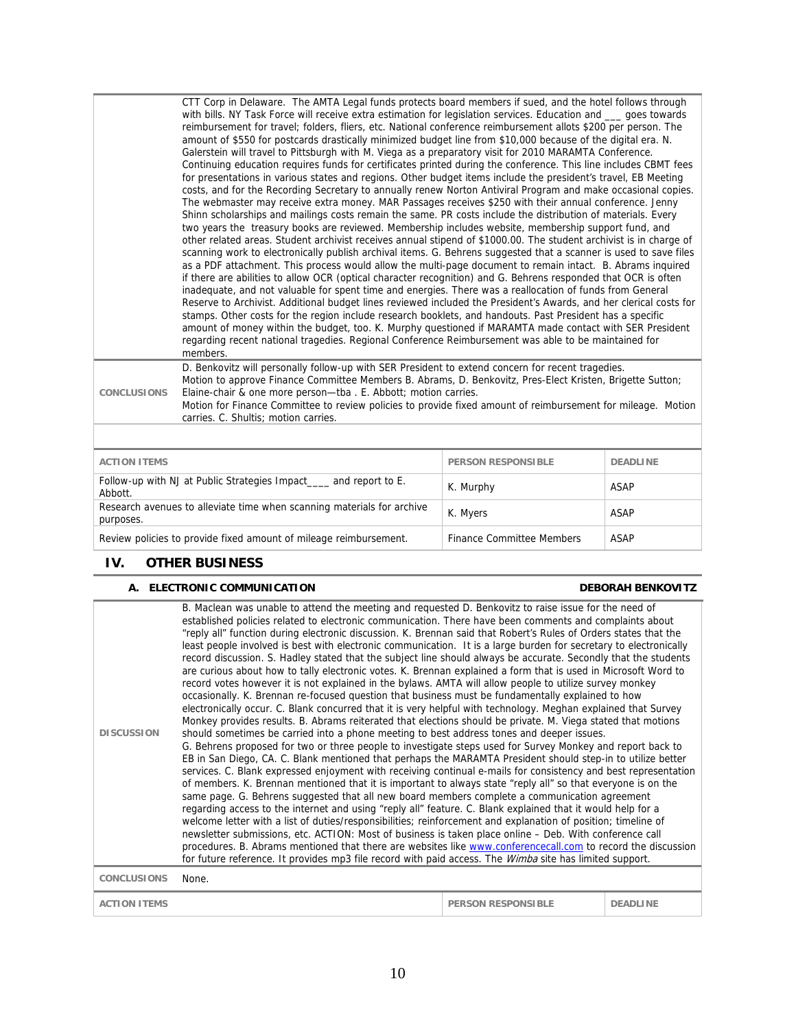|                     | CTT Corp in Delaware. The AMTA Legal funds protects board members if sued, and the hotel follows through<br>with bills. NY Task Force will receive extra estimation for legislation services. Education and __ goes towards<br>reimbursement for travel; folders, fliers, etc. National conference reimbursement allots \$200 per person. The<br>amount of \$550 for postcards drastically minimized budget line from \$10,000 because of the digital era. N.<br>Galerstein will travel to Pittsburgh with M. Viega as a preparatory visit for 2010 MARAMTA Conference.<br>Continuing education requires funds for certificates printed during the conference. This line includes CBMT fees<br>for presentations in various states and regions. Other budget items include the president's travel, EB Meeting<br>costs, and for the Recording Secretary to annually renew Norton Antiviral Program and make occasional copies.<br>The webmaster may receive extra money. MAR Passages receives \$250 with their annual conference. Jenny<br>Shinn scholarships and mailings costs remain the same. PR costs include the distribution of materials. Every<br>two years the treasury books are reviewed. Membership includes website, membership support fund, and<br>other related areas. Student archivist receives annual stipend of \$1000.00. The student archivist is in charge of<br>scanning work to electronically publish archival items. G. Behrens suggested that a scanner is used to save files<br>as a PDF attachment. This process would allow the multi-page document to remain intact. B. Abrams inquired<br>if there are abilities to allow OCR (optical character recognition) and G. Behrens responded that OCR is often<br>inadequate, and not valuable for spent time and energies. There was a reallocation of funds from General<br>Reserve to Archivist. Additional budget lines reviewed included the President's Awards, and her clerical costs for<br>stamps. Other costs for the region include research booklets, and handouts. Past President has a specific<br>amount of money within the budget, too. K. Murphy questioned if MARAMTA made contact with SER President<br>regarding recent national tragedies. Regional Conference Reimbursement was able to be maintained for<br>members. |                           |                 |
|---------------------|---------------------------------------------------------------------------------------------------------------------------------------------------------------------------------------------------------------------------------------------------------------------------------------------------------------------------------------------------------------------------------------------------------------------------------------------------------------------------------------------------------------------------------------------------------------------------------------------------------------------------------------------------------------------------------------------------------------------------------------------------------------------------------------------------------------------------------------------------------------------------------------------------------------------------------------------------------------------------------------------------------------------------------------------------------------------------------------------------------------------------------------------------------------------------------------------------------------------------------------------------------------------------------------------------------------------------------------------------------------------------------------------------------------------------------------------------------------------------------------------------------------------------------------------------------------------------------------------------------------------------------------------------------------------------------------------------------------------------------------------------------------------------------------------------------------------------------------------------------------------------------------------------------------------------------------------------------------------------------------------------------------------------------------------------------------------------------------------------------------------------------------------------------------------------------------------------------------------------------------------------------------------------------------------------------------------------|---------------------------|-----------------|
| <b>CONCLUSIONS</b>  | D. Benkovitz will personally follow-up with SER President to extend concern for recent tragedies.<br>Motion to approve Finance Committee Members B. Abrams, D. Benkovitz, Pres-Elect Kristen, Brigette Sutton;<br>Elaine-chair & one more person-tba. E. Abbott; motion carries.<br>Motion for Finance Committee to review policies to provide fixed amount of reimbursement for mileage. Motion<br>carries. C. Shultis; motion carries.                                                                                                                                                                                                                                                                                                                                                                                                                                                                                                                                                                                                                                                                                                                                                                                                                                                                                                                                                                                                                                                                                                                                                                                                                                                                                                                                                                                                                                                                                                                                                                                                                                                                                                                                                                                                                                                                                  |                           |                 |
|                     |                                                                                                                                                                                                                                                                                                                                                                                                                                                                                                                                                                                                                                                                                                                                                                                                                                                                                                                                                                                                                                                                                                                                                                                                                                                                                                                                                                                                                                                                                                                                                                                                                                                                                                                                                                                                                                                                                                                                                                                                                                                                                                                                                                                                                                                                                                                           |                           |                 |
| <b>ACTION ITEMS</b> |                                                                                                                                                                                                                                                                                                                                                                                                                                                                                                                                                                                                                                                                                                                                                                                                                                                                                                                                                                                                                                                                                                                                                                                                                                                                                                                                                                                                                                                                                                                                                                                                                                                                                                                                                                                                                                                                                                                                                                                                                                                                                                                                                                                                                                                                                                                           | <b>PERSON RESPONSIBLE</b> | <b>DEADLINE</b> |

| <b>ACTION ITEMS</b>                                                                 | <b>PERSON RESPONSIBLE</b> | <b>DEADLINE</b> |
|-------------------------------------------------------------------------------------|---------------------------|-----------------|
| Follow-up with NJ at Public Strategies Impact and report to E.<br>Abbott.           | K. Murphy                 | ASAP            |
| Research avenues to alleviate time when scanning materials for archive<br>purposes. | K. Myers                  | ASAP            |
| Review policies to provide fixed amount of mileage reimbursement.                   | Finance Committee Members | ASAP            |

# **IV. OTHER BUSINESS**

# **A. ELECTRONIC COMMUNICATION DEBORAH BENKOVITZ**

| <b>DISCUSSION</b>   | B. Maclean was unable to attend the meeting and requested D. Benkovitz to raise issue for the need of<br>established policies related to electronic communication. There have been comments and complaints about<br>"reply all" function during electronic discussion. K. Brennan said that Robert's Rules of Orders states that the<br>least people involved is best with electronic communication. It is a large burden for secretary to electronically<br>record discussion. S. Hadley stated that the subject line should always be accurate. Secondly that the students<br>are curious about how to tally electronic votes. K. Brennan explained a form that is used in Microsoft Word to<br>record votes however it is not explained in the bylaws. AMTA will allow people to utilize survey monkey<br>occasionally. K. Brennan re-focused question that business must be fundamentally explained to how<br>electronically occur. C. Blank concurred that it is very helpful with technology. Meghan explained that Survey<br>Monkey provides results. B. Abrams reiterated that elections should be private. M. Viega stated that motions<br>should sometimes be carried into a phone meeting to best address tones and deeper issues.<br>G. Behrens proposed for two or three people to investigate steps used for Survey Monkey and report back to<br>EB in San Diego, CA. C. Blank mentioned that perhaps the MARAMTA President should step-in to utilize better<br>services. C. Blank expressed enjoyment with receiving continual e-mails for consistency and best representation<br>of members. K. Brennan mentioned that it is important to always state "reply all" so that everyone is on the<br>same page. G. Behrens suggested that all new board members complete a communication agreement<br>regarding access to the internet and using "reply all" feature. C. Blank explained that it would help for a<br>welcome letter with a list of duties/responsibilities; reinforcement and explanation of position; timeline of<br>newsletter submissions, etc. ACTION: Most of business is taken place online - Deb. With conference call<br>procedures. B. Abrams mentioned that there are websites like www.conferencecall.com to record the discussion<br>for future reference. It provides mp3 file record with paid access. The <i>Wimba</i> site has limited support. |                           |                 |
|---------------------|---------------------------------------------------------------------------------------------------------------------------------------------------------------------------------------------------------------------------------------------------------------------------------------------------------------------------------------------------------------------------------------------------------------------------------------------------------------------------------------------------------------------------------------------------------------------------------------------------------------------------------------------------------------------------------------------------------------------------------------------------------------------------------------------------------------------------------------------------------------------------------------------------------------------------------------------------------------------------------------------------------------------------------------------------------------------------------------------------------------------------------------------------------------------------------------------------------------------------------------------------------------------------------------------------------------------------------------------------------------------------------------------------------------------------------------------------------------------------------------------------------------------------------------------------------------------------------------------------------------------------------------------------------------------------------------------------------------------------------------------------------------------------------------------------------------------------------------------------------------------------------------------------------------------------------------------------------------------------------------------------------------------------------------------------------------------------------------------------------------------------------------------------------------------------------------------------------------------------------------------------------------------------------------------------------------------------------------------------------------------------------------------|---------------------------|-----------------|
| <b>CONCLUSIONS</b>  | None.                                                                                                                                                                                                                                                                                                                                                                                                                                                                                                                                                                                                                                                                                                                                                                                                                                                                                                                                                                                                                                                                                                                                                                                                                                                                                                                                                                                                                                                                                                                                                                                                                                                                                                                                                                                                                                                                                                                                                                                                                                                                                                                                                                                                                                                                                                                                                                                       |                           |                 |
| <b>ACTION ITEMS</b> |                                                                                                                                                                                                                                                                                                                                                                                                                                                                                                                                                                                                                                                                                                                                                                                                                                                                                                                                                                                                                                                                                                                                                                                                                                                                                                                                                                                                                                                                                                                                                                                                                                                                                                                                                                                                                                                                                                                                                                                                                                                                                                                                                                                                                                                                                                                                                                                             | <b>PERSON RESPONSIBLE</b> | <b>DEADLINE</b> |